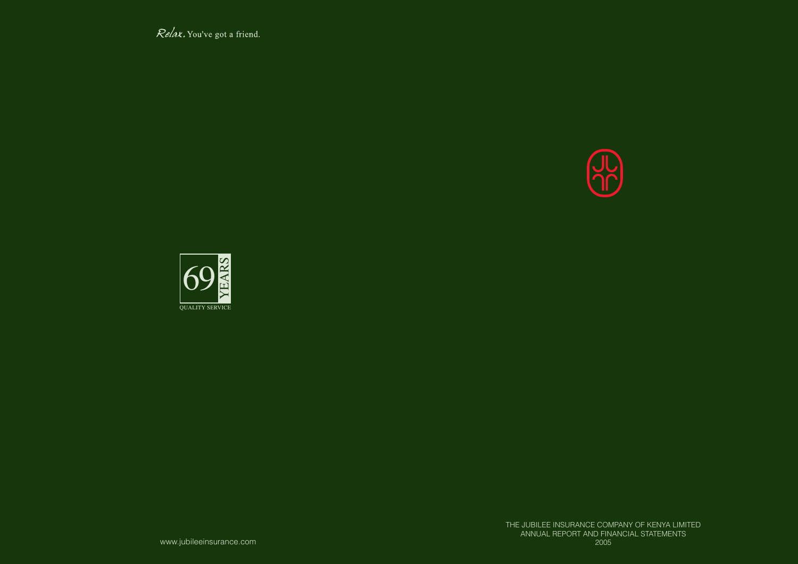Relax. You've got a friend.



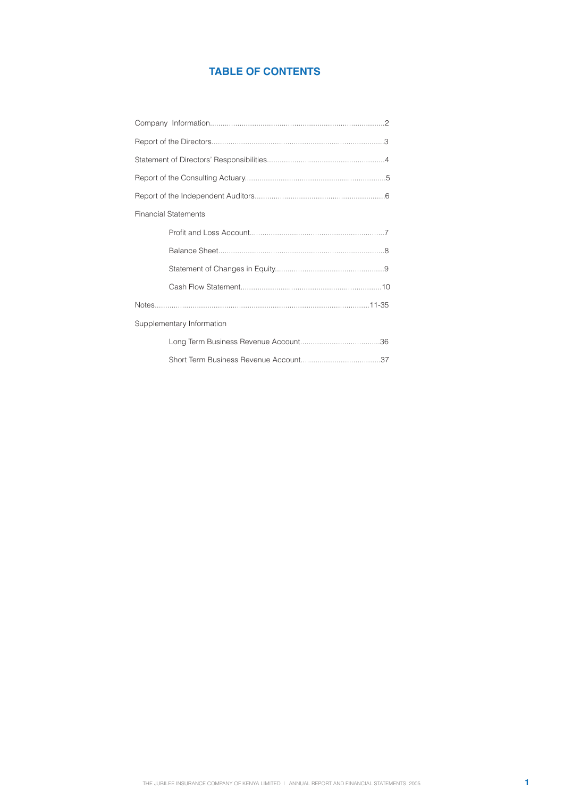# **TABLE OF CONTENTS**

| <b>Financial Statements</b> |  |
|-----------------------------|--|
|                             |  |
|                             |  |
|                             |  |
|                             |  |
|                             |  |
| Supplementary Information   |  |
|                             |  |
|                             |  |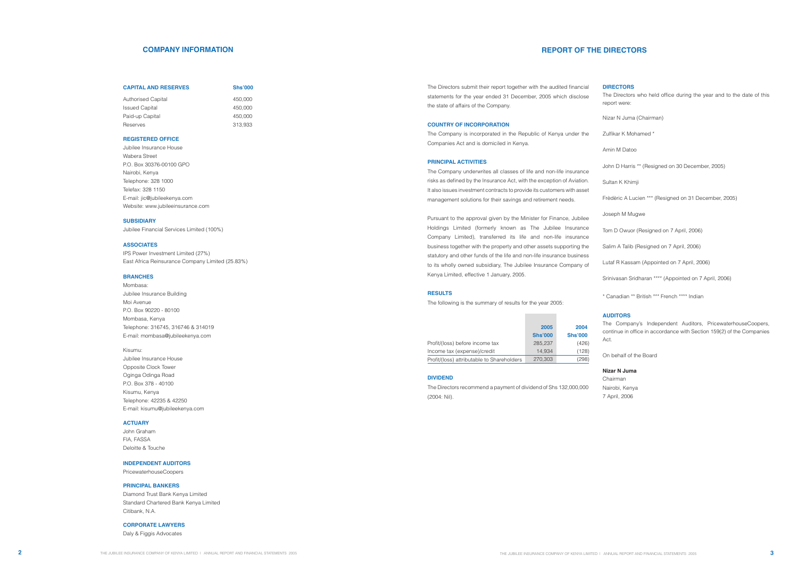The Directors submit their report together with the audited financial statements for the year ended 31 December, 2005 which disclose the state of affairs of the Company.

#### **COUNTRY OF INCORPORATION**

The Company is incorporated in the Republic of Kenya under the Companies Act and is domiciled in Kenya.

#### **PRINCIPAL ACTIVITIES**

The Company underwrites all classes of life and non-life insurance risks as defined by the Insurance Act, with the exception of Aviation. It also issues investment contracts to provide its customers with asset management solutions for their savings and retirement needs.

Pursuant to the approval given by the Minister for Finance, Jubilee Holdings Limited (formerly known as The Jubilee Insurance Company Limited), transferred its life and non-life insurance business together with the property and other assets supporting the statutory and other funds of the life and non-life insurance business to its wholly owned subsidiary, The Jubilee Insurance Company of Kenya Limited, effective 1 January, 2005.

#### **RESULTS**

The following is the summary of results for the year 2005:

## **COMPANY INFORMATION**

#### **CAPITAL AND RESERVES** Shs'000

| Authorised Capital    | 450,000 |
|-----------------------|---------|
| <b>Issued Capital</b> | 450,000 |
| Paid-up Capital       | 450,000 |
| Reserves              | 313.933 |

#### **REGISTERED OFFICE**

Jubilee Insurance House Wabera Street P.O. Box 30376-00100 GPO Nairobi, Kenya Telephone: 328 1000 Telefax: 328 1150 E-mail: jic@jubileekenya.com Website: www.jubileeinsurance.com

#### **SUBSIDIARY**

Jubilee Financial Services Limited (100%)

### **ASSOCIATES**

IPS Power Investment Limited (27%) East Africa Reinsurance Company Limited (25.83%)

## **BRANCHES**

Mombasa: Jubilee Insurance Building Moi Avenue P.O. Box 90220 - 80100 Mombasa, Kenya Telephone: 316745, 316746 & 314019 E-mail: mombasa@jubileekenya.com

Kisumu:

Jubilee Insurance House Opposite Clock Tower Oginga Odinga Road P.O. Box 378 - 40100 Kisumu, Kenya Telephone: 42235 & 42250 E-mail: kisumu@jubileekenya.com

#### **ACTUARY**

John Graham FIA, FASSA Deloitte & Touche

#### **INDEPENDENT AUDITORS**

PricewaterhouseCoopers

#### **PRINCIPAL BANKERS**

Diamond Trust Bank Kenya Limited Standard Chartered Bank Kenya Limited Citibank, N.A.

## **CORPORATE LAWYERS**

Daly & Figgis Advocates

# **REPORT OF THE DIRECTORS**

|                                            | 2005           | 2004           |
|--------------------------------------------|----------------|----------------|
|                                            | <b>Shs'000</b> | <b>Shs'000</b> |
| Profit/(loss) before income tax            | 285.237        | (426)          |
| Income tax (expense)/credit                | 14.934         | (128)          |
| Profit/(loss) attributable to Shareholders | 270,303        | (298)          |

### **DIRECTORS**

The Directors who held office during the year and to the date of this report were:

Nizar N Juma (Chairman)

Zulfikar K Mohamed \*

Amin M Datoo

John D Harris \*\* (Resigned on 30 December, 2005)

Sultan K Khimji

Frèdèric A Lucien \*\*\* (Resigned on 31 December, 2005)

Joseph M Mugwe

Tom D Owuor (Resigned on 7 April, 2006)

Salim A Talib (Resigned on 7 April, 2006)

Lutaf R Kassam (Appointed on 7 April, 2006)

Srinivasan Sridharan \*\*\*\* (Appointed on 7 April, 2006)

\* Canadian \*\* British \*\*\* French \*\*\*\* Indian

#### **AUDITORS**

The Company's Independent Auditors, PricewaterhouseCoopers, continue in office in accordance with Section 159(2) of the Companies Act.

On behalf of the Board

## **Nizar N Juma**

Chairman Nairobi, Kenya 7 April, 2006

#### **DIVIDEND**

The Directors recommend a payment of dividend of Shs 132,000,000 (2004: Nil).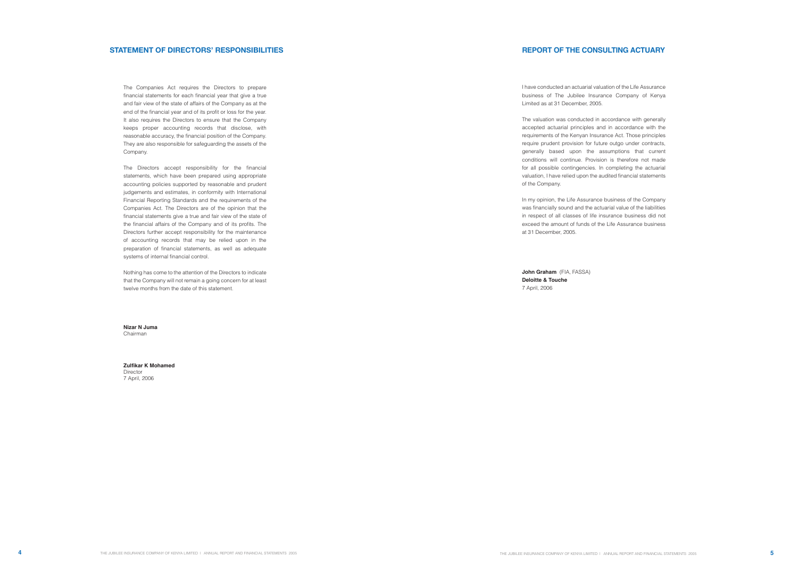The Companies Act requires the Directors to prepare financial statements for each financial year that give a true and fair view of the state of affairs of the Company as at the end of the financial year and of its profit or loss for the year. It also requires the Directors to ensure that the Company keeps proper accounting records that disclose, with reasonable accuracy, the financial position of the Company. They are also responsible for safeguarding the assets of the Company.

The Directors accept responsibility for the financial statements, which have been prepared using appropriate accounting policies supported by reasonable and prudent judgements and estimates, in conformity with International Financial Reporting Standards and the requirements of the Companies Act. The Directors are of the opinion that the financial statements give a true and fair view of the state of the financial affairs of the Company and of its profits. The Directors further accept responsibility for the maintenance of accounting records that may be relied upon in the preparation of financial statements, as well as adequate systems of internal financial control.

Nothing has come to the attention of the Directors to indicate that the Company will not remain a going concern for at least twelve months from the date of this statement.

**Nizar N Juma** Chairman

**Zulfikar K Mohamed**  Director 7 April, 2006

# **REPORT OF THE CONSULTING ACTUARY**

I have conducted an actuarial valuation of the Life Assurance business of The Jubilee Insurance Company of Kenya Limited as at 31 December, 2005.

The valuation was conducted in accordance with generally accepted actuarial principles and in accordance with the requirements of the Kenyan Insurance Act. Those principles require prudent provision for future outgo under contracts, generally based upon the assumptions that current conditions will continue. Provision is therefore not made for all possible contingencies. In completing the actuarial valuation, I have relied upon the audited financial statements of the Company.

In my opinion, the Life Assurance business of the Company was financially sound and the actuarial value of the liabilities in respect of all classes of life insurance business did not exceed the amount of funds of the Life Assurance business at 31 December, 2005.

**John Graham** (FIA, FASSA) **Deloitte & Touche**  7 April, 2006

# **STATEMENT OF DIRECTORS' RESPONSIBILITIES**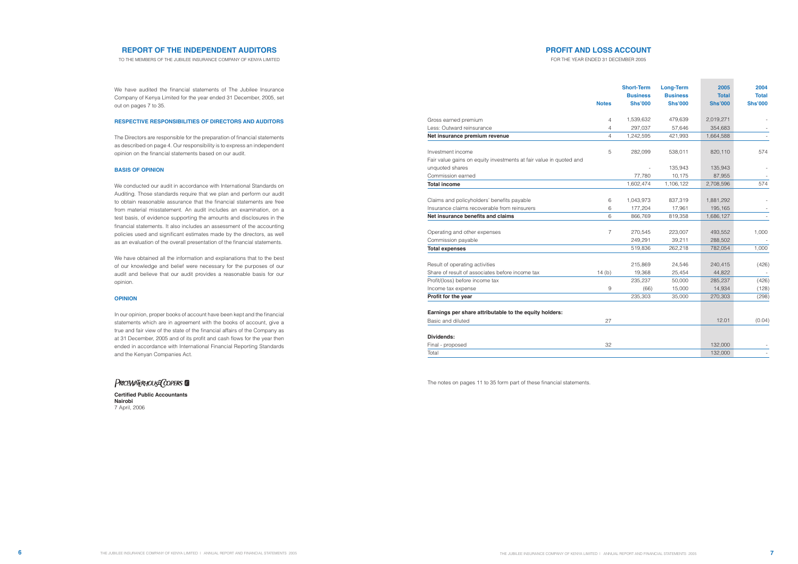# **PROFIT AND LOSS ACCOUNT**

FOR THE YEAR ENDED 31 DECEMBER 2005

|                                                                             | <b>Notes</b>   | <b>Short-Term</b><br><b>Business</b><br><b>Shs'000</b> | <b>Long-Term</b><br><b>Business</b><br><b>Shs'000</b> | 2005<br><b>Total</b><br><b>Shs'000</b> | 2004<br><b>Total</b><br><b>Shs'000</b> |
|-----------------------------------------------------------------------------|----------------|--------------------------------------------------------|-------------------------------------------------------|----------------------------------------|----------------------------------------|
| Gross earned premium                                                        | 4              | 1,539,632                                              | 479,639                                               | 2,019,271                              |                                        |
| Less: Outward reinsurance                                                   | 4              | 297,037                                                | 57,646                                                | 354,683                                |                                        |
| Net insurance premium revenue                                               | $\overline{4}$ | 1,242,595                                              | 421,993                                               | 1,664,588                              |                                        |
| Investment income                                                           | 5              | 282,099                                                | 538,011                                               | 820,110                                | 574                                    |
| Fair value gains on equity investments at fair value in quoted and          |                |                                                        |                                                       |                                        |                                        |
| unquoted shares                                                             |                |                                                        | 135,943                                               | 135,943                                |                                        |
| Commission earned                                                           |                | 77,780                                                 | 10,175                                                | 87,955                                 |                                        |
| <b>Total income</b>                                                         |                | 1,602,474                                              | 1,106,122                                             | 2,708,596                              | 574                                    |
|                                                                             |                |                                                        |                                                       |                                        |                                        |
| Claims and policyholders' benefits payable                                  | 6              | 1,043,973                                              | 837,319                                               | 1,881,292                              |                                        |
| Insurance claims recoverable from reinsurers                                | 6              | 177,204                                                | 17,961                                                | 195,165                                |                                        |
| Net insurance benefits and claims                                           | 6              | 866,769                                                | 819,358                                               | 1,686,127                              |                                        |
| Operating and other expenses                                                | $\overline{7}$ | 270,545                                                | 223,007                                               | 493,552                                | 1,000                                  |
| Commission payable                                                          |                | 249,291                                                | 39,211                                                | 288,502                                |                                        |
| <b>Total expenses</b>                                                       |                | 519,836                                                | 262,218                                               | 782,054                                | 1,000                                  |
| Result of operating activities                                              |                | 215,869                                                | 24,546                                                | 240,415                                | (426)                                  |
| Share of result of associates before income tax                             | 14(b)          | 19,368                                                 | 25,454                                                | 44,822                                 |                                        |
| Profit/(loss) before income tax                                             |                | 235,237                                                | 50,000                                                | 285,237                                | (426)                                  |
| Income tax expense                                                          | 9              | (66)                                                   | 15,000                                                | 14,934                                 | (128)                                  |
| Profit for the year                                                         |                | 235,303                                                | 35,000                                                | 270,303                                | (298)                                  |
| Earnings per share attributable to the equity holders:<br>Basic and diluted | 27             |                                                        |                                                       | 12.01                                  | (0.04)                                 |
|                                                                             |                |                                                        |                                                       |                                        |                                        |
| Dividends:                                                                  |                |                                                        |                                                       |                                        |                                        |
| Final - proposed                                                            | 32             |                                                        |                                                       | 132,000                                |                                        |
| Total                                                                       |                |                                                        |                                                       | 132,000                                |                                        |

# **REPORT OF THE INDEPENDENT AUDITORS**

TO THE MEMBERS OF THE JUBILEE INSURANCE COMPANY OF KENYA LIMITED

We have audited the financial statements of The Jubilee Insurance Company of Kenya Limited for the year ended 31 December, 2005, set out on pages 7 to 35.

## **RESPECTIVE RESPONSIBILITIES OF DIRECTORS AND AUDITORS**

The Directors are responsible for the preparation of financial statements as described on page 4. Our responsibility is to express an independent opinion on the financial statements based on our audit.

#### **BASIS OF OPINION**

We conducted our audit in accordance with International Standards on Auditing. Those standards require that we plan and perform our audit to obtain reasonable assurance that the financial statements are free from material misstatement. An audit includes an examination, on a test basis, of evidence supporting the amounts and disclosures in the financial statements. It also includes an assessment of the accounting policies used and significant estimates made by the directors, as well as an evaluation of the overall presentation of the financial statements.

We have obtained all the information and explanations that to the best of our knowledge and belief were necessary for the purposes of our audit and believe that our audit provides a reasonable basis for our opinion.

#### **OPINION**

In our opinion, proper books of account have been kept and the financial statements which are in agreement with the books of account, give a true and fair view of the state of the financial affairs of the Company as at 31 December, 2005 and of its profit and cash flows for the year then ended in accordance with International Financial Reporting Standards and the Kenyan Companies Act.

# PRICEWATERHOUSE COPERS

**Certified Public Accountants Nairobi** 7 April, 2006

The notes on pages 11 to 35 form part of these financial statements.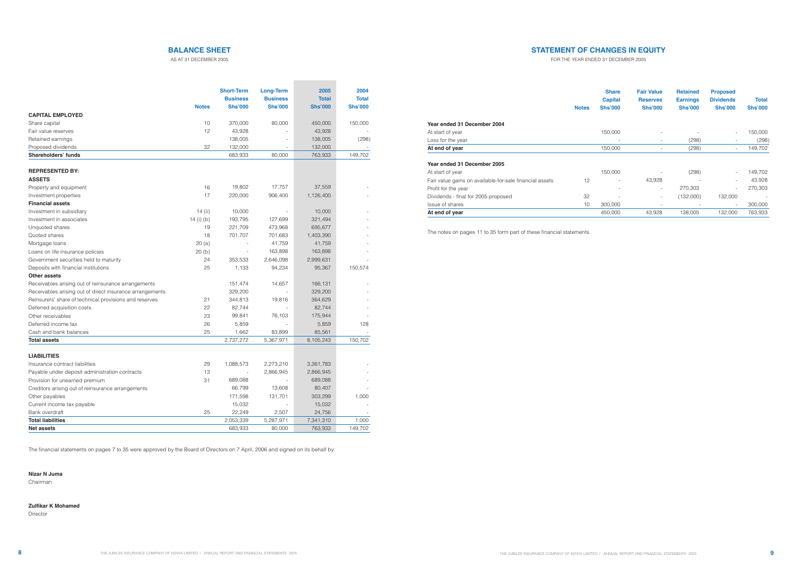|                                                         | <b>Notes</b> | <b>Share</b><br><b>Capital</b><br><b>Shs'000</b> | <b>Fair Value</b><br><b>Reserves</b><br><b>Shs'000</b> | <b>Retained</b><br><b>Earnings</b><br><b>Shs'000</b> | <b>Proposed</b><br><b>Dividends</b><br><b>Shs'000</b> | <b>Total</b><br><b>Shs'000</b> |
|---------------------------------------------------------|--------------|--------------------------------------------------|--------------------------------------------------------|------------------------------------------------------|-------------------------------------------------------|--------------------------------|
| Year ended 31 December 2004                             |              |                                                  |                                                        |                                                      |                                                       |                                |
| At start of year                                        |              | 150,000                                          | $\overline{\phantom{a}}$                               |                                                      | $\overline{\phantom{a}}$                              | 150,000                        |
| Loss for the year                                       |              | $\overline{\phantom{a}}$                         | $\overline{\phantom{a}}$                               | (298)                                                |                                                       | (298)                          |
| At end of year                                          |              | 150,000                                          | $\overline{\phantom{a}}$                               | (298)                                                | $\overline{\phantom{a}}$                              | 149,702                        |
| Year ended 31 December 2005                             |              |                                                  |                                                        |                                                      |                                                       |                                |
| At start of year                                        |              | 150,000                                          |                                                        | (298)                                                | $\overline{\phantom{a}}$                              | 149,702                        |
| Fair value gains on available-for-sale financial assets | 12           | $\overline{\phantom{a}}$                         | 43,928                                                 |                                                      | $\overline{\phantom{a}}$                              | 43,928                         |
| Profit for the year                                     |              | $\overline{\phantom{a}}$                         | $\overline{\phantom{a}}$                               | 270,303                                              | $\overline{\phantom{a}}$                              | 270,303                        |
| Dividends - final for 2005 proposed                     | 32           |                                                  | $\overline{\phantom{a}}$                               | (132,000)                                            | 132,000                                               |                                |
| Issue of shares                                         | 10           | 300,000                                          | $\overline{\phantom{a}}$                               | $\overline{\phantom{a}}$                             | $\overline{\phantom{a}}$                              | 300,000                        |
| At end of year                                          |              | 450,000                                          | 43.928                                                 | 138.005                                              | 132.000                                               | 763,933                        |

|                                                          |              | <b>Short-Term</b><br><b>Business</b> | <b>Long-Term</b><br><b>Business</b> | 2005<br><b>Total</b> | 2004<br><b>Total</b> |
|----------------------------------------------------------|--------------|--------------------------------------|-------------------------------------|----------------------|----------------------|
|                                                          | <b>Notes</b> | <b>Shs'000</b>                       | <b>Shs'000</b>                      | <b>Shs'000</b>       | <b>Shs'000</b>       |
| <b>CAPITAL EMPLOYED</b>                                  |              |                                      |                                     |                      |                      |
| Share capital                                            | 10           | 370,000                              | 80,000                              | 450,000              | 150,000              |
| Fair value reserves                                      | 12           | 43,928                               |                                     | 43,928               |                      |
| Retained earnings                                        |              | 138,005                              |                                     | 138,005              | (298)                |
| Proposed dividends                                       | 32           | 132,000                              |                                     | 132,000              |                      |
| Shareholders' funds                                      |              | 683,933                              | 80,000                              | 763,933              | 149,702              |
|                                                          |              |                                      |                                     |                      |                      |
| <b>REPRESENTED BY:</b>                                   |              |                                      |                                     |                      |                      |
| <b>ASSETS</b>                                            |              |                                      |                                     |                      |                      |
| Property and equipment                                   | 16           | 19,802                               | 17,757                              | 37,559               |                      |
| Investment properties                                    | 17           | 220,000                              | 906,400                             | 1,126,400            |                      |
| <b>Financial assets</b>                                  |              |                                      |                                     |                      |                      |
| Investment in subsidiary                                 | 14 (ii)      | 10,000                               | $\overline{\phantom{a}}$            | 10,000               |                      |
| Investment in associates                                 | 14 (i) (b)   | 193,795                              | 127,699                             | 321,494              |                      |
| Unquoted shares                                          | 19           | 221,709                              | 473,968                             | 695,677              |                      |
| Quoted shares                                            | 18           | 701,707                              | 701,683                             | 1,403,390            |                      |
| Mortgage loans                                           | 20(a)        |                                      | 41,759                              | 41,759               |                      |
| Loans on life insurance policies                         | 20(b)        |                                      | 163,898                             | 163,898              |                      |
| Government securities held to maturity                   | 24           | 353,533                              | 2,646,098                           | 2,999,631            |                      |
| Deposits with financial institutions                     | 25           | 1,133                                | 94,234                              | 95,367               | 150,574              |
| <b>Other assets</b>                                      |              |                                      |                                     |                      |                      |
| Receivables arising out of reinsurance arrangements      |              | 151,474                              | 14,657                              | 166,131              |                      |
| Receivables arising out of direct insurance arrangements |              | 329,200                              |                                     | 329,200              |                      |
| Reinsurers' share of technical provisions and reserves   | 21           | 344,813                              | 19,816                              | 364,629              |                      |
| Deferred acquisition costs                               | 22           | 82,744                               |                                     | 82,744               |                      |
| Other receivables                                        | 23           | 99,841                               | 76,103                              | 175,944              |                      |
| Deferred income tax                                      | 26           | 5,859                                |                                     | 5,859                | 128                  |
| Cash and bank balances                                   | 25           | 1,662                                | 83,899                              | 85,561               |                      |
| <b>Total assets</b>                                      |              | 2,737,272                            | 5,367,971                           | 8,105,243            | 150,702              |
|                                                          |              |                                      |                                     |                      |                      |
| <b>LIABILITIES</b>                                       |              |                                      |                                     |                      |                      |
| Insurance contract liabilities                           | 29           | 1,088,573                            | 2,273,210                           | 3,361,783            |                      |
| Payable under deposit administration contracts           | 13           |                                      | 2,866,945                           | 2,866,945            |                      |
| Provision for unearned premium                           | 31           | 689,088                              |                                     | 689,088              |                      |
| Creditors arising out of reinsurance arrangements        |              | 66,799                               | 13,608                              | 80,407               |                      |
| Other payables                                           |              | 171,598                              | 131,701                             | 303,299              | 1,000                |
| Current income tax payable                               |              | 15,032                               |                                     | 15,032               |                      |
| Bank overdraft                                           | 25           | 22,249                               | 2,507                               | 24,756               |                      |
| <b>Total liabilities</b>                                 |              | 2,053,339                            | 5,287,971                           | 7,341,310            | 1,000                |
| <b>Net assets</b>                                        |              | 683,933                              | 80,000                              | 763,933              | 149,702              |

# **BALANCE SHEET**

AS AT 31 DECEMBER 2005

FOR THE YEAR ENDED 31 DECEMBER 2005

The financial statements on pages 7 to 35 were approved by the Board of Directors on 7 April, 2006 and signed on its behalf by:

**Nizar N Juma**

Chairman

**Zulfikar K Mohamed**

Director

| <b>STATEMENT OF CHA</b> |  |
|-------------------------|--|

The notes on pages 11 to 35 form part of these financial statements.

# **ANGES IN EQUITY**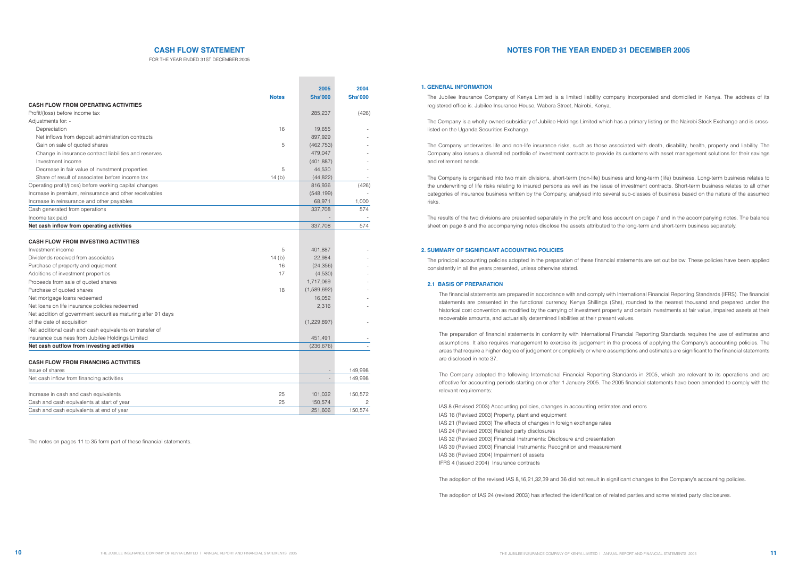|                                                              |              | 2005           | 2004           |
|--------------------------------------------------------------|--------------|----------------|----------------|
|                                                              | <b>Notes</b> | <b>Shs'000</b> | <b>Shs'000</b> |
| <b>CASH FLOW FROM OPERATING ACTIVITIES</b>                   |              |                |                |
| Profit/(loss) before income tax                              |              | 285,237        | (426)          |
| Adjustments for: -                                           |              |                |                |
| Depreciation                                                 | 16           | 19,655         |                |
| Net inflows from deposit administration contracts            |              | 897,929        |                |
| Gain on sale of quoted shares                                | 5            | (462, 753)     |                |
| Change in insurance contract liabilities and reserves        |              | 479,047        |                |
| Investment income                                            |              | (401, 887)     |                |
| Decrease in fair value of investment properties              | 5            | 44,530         |                |
| Share of result of associates before income tax              | 14 $(b)$     | (44, 822)      |                |
| Operating profit/(loss) before working capital changes       |              | 816,936        | (426)          |
| Increase in premium, reinsurance and other receivables       |              | (548, 199)     |                |
| Increase in reinsurance and other payables                   |              | 68,971         | 1,000          |
| Cash generated from operations                               |              | 337,708        | 574            |
| Income tax paid                                              |              |                |                |
| Net cash inflow from operating activities                    |              | 337,708        | 574            |
|                                                              |              |                |                |
| <b>CASH FLOW FROM INVESTING ACTIVITIES</b>                   |              |                |                |
| Investment income                                            | 5            | 401,887        |                |
| Dividends received from associates                           | 14(b)        | 22,984         |                |
| Purchase of property and equipment                           | 16           | (24, 356)      |                |
| Additions of investment properties                           | 17           | (4,530)        |                |
| Proceeds from sale of quoted shares                          |              | 1,717,069      |                |
| Purchase of quoted shares                                    | 18           | (1,589,692)    |                |
| Net mortgage loans redeemed                                  |              | 16,052         |                |
| Net loans on life insurance policies redeemed                |              | 2,316          |                |
| Net addition of government securities maturing after 91 days |              |                |                |
| of the date of acquisition                                   |              | (1,229,897)    |                |
| Net additional cash and cash equivalents on transfer of      |              |                |                |
| insurance business from Jubilee Holdings Limited             |              | 451,491        |                |
| Net cash outflow from investing activities                   |              | (236, 676)     |                |
| <b>CASH FLOW FROM FINANCING ACTIVITIES</b>                   |              |                |                |
| Issue of shares                                              |              |                |                |
|                                                              |              |                | 149,998        |
| Net cash inflow from financing activities                    |              |                | 149,998        |
| Increase in cash and cash equivalents                        | 25           | 101,032        | 150,572        |
| Cash and cash equivalents at start of year                   | 25           | 150,574        | 2              |
| Cash and cash equivalents at end of year                     |              | 251,606        | 150,574        |

## **CASH FLOW STATEMENT**

FOR THE YEAR ENDED 31ST DECEMBER 2005

# **NOTES FOR THE YEAR ENDED 31 DECEMBER 2005**

The Jubilee Insurance Company of Kenya Limited is a limited liability company incorporated and domiciled in Kenya. The address of its registered office is: Jubilee Insurance House, Wabera Street, Nairobi, Kenya.

The Company is a wholly-owned subsidiary of Jubilee Holdings Limited which has a primary listing on the Nairobi Stock Exchange and is crosslisted on the Uganda Securities Exchange.

The Company underwrites life and non-life insurance risks, such as those associated with death, disability, health, property and liability. The Company also issues a diversified portfolio of investment contracts to provide its customers with asset management solutions for their savings and retirement needs.

The Company is organised into two main divisions, short-term (non-life) business and long-term (life) business. Long-term business relates to the underwriting of life risks relating to insured persons as well as the issue of investment contracts. Short-term business relates to all other categories of insurance business written by the Company, analysed into several sub-classes of business based on the nature of the assumed risks.

The results of the two divisions are presented separately in the profit and loss account on page 7 and in the accompanying notes. The balance sheet on page 8 and the accompanying notes disclose the assets attributed to the long-term and short-term business separately.

The principal accounting policies adopted in the preparation of these financial statements are set out below. These policies have been applied consistently in all the years presented, unless otherwise stated.

## **2.1 BASIS OF PREPARATION**

The financial statements are prepared in accordance with and comply with International Financial Reporting Standards (IFRS). The financial statements are presented in the functional currency, Kenya Shillings (Shs), rounded to the nearest thousand and prepared under the historical cost convention as modified by the carrying of investment property and certain investments at fair value, impaired assets at their recoverable amounts, and actuarially determined liabilities at their present values.

The preparation of financial statements in conformity with International Financial Reporting Standards requires the use of estimates and assumptions. It also requires management to exercise its judgement in the process of applying the Company's accounting policies. The areas that require a higher degree of judgement or complexity or where assumptions and estimates are significant to the financial statements are disclosed in note 37.

The Company adopted the following International Financial Reporting Standards in 2005, which are relevant to its operations and are effective for accounting periods starting on or after 1 January 2005. The 2005 financial statements have been amended to comply with the relevant requirements:

```
IAS 8 (Revised 2003) Accounting policies, changes in accounting estimates and errors
IAS 16 (Revised 2003) Property, plant and equipment
IAS 21 (Revised 2003) The effects of changes in foreign exchange rates
IAS 24 (Revised 2003) Related party disclosures
IAS 32 (Revised 2003) Financial Instruments: Disclosure and presentation
IAS 39 (Revised 2003) Financial Instruments: Recognition and measurement
IAS 36 (Revised 2004) Impairment of assets
IFRS 4 (Issued 2004) Insurance contracts
```
The adoption of the revised IAS 8,16,21,32,39 and 36 did not result in significant changes to the Company's accounting policies.

The adoption of IAS 24 (revised 2003) has affected the identification of related parties and some related party disclosures.

### **1. GENERAL INFORMATION**

#### **2. SUMMARY OF SIGNIFICANT ACCOUNTING POLICIES**

The notes on pages 11 to 35 form part of these financial statements.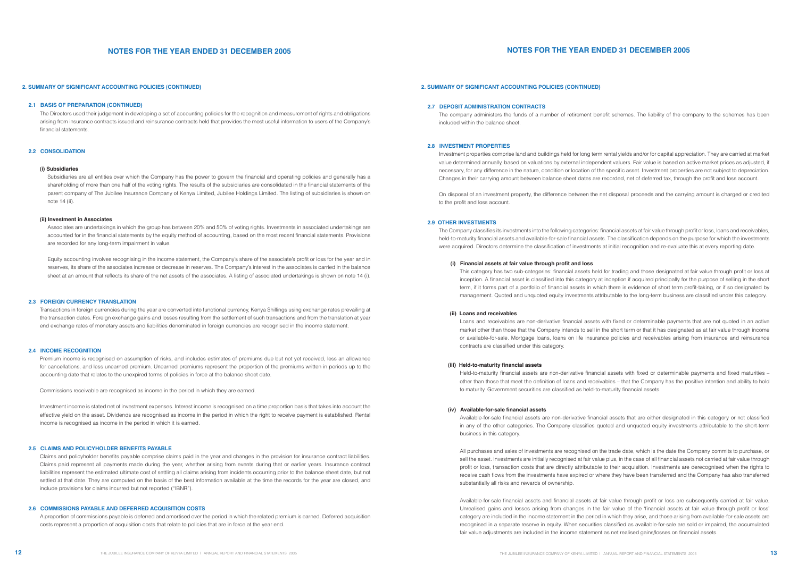#### **2.1 BASIS OF PREPARATION (CONTINUED)**

The Directors used their judgement in developing a set of accounting policies for the recognition and measurement of rights and obligations arising from insurance contracts issued and reinsurance contracts held that provides the most useful information to users of the Company's financial statements.

### **2.2 CONSOLIDATION**

#### **(i) Subsidiaries**

Subsidiaries are all entities over which the Company has the power to govern the financial and operating policies and generally has a shareholding of more than one half of the voting rights. The results of the subsidiaries are consolidated in the financial statements of the parent company of The Jubilee Insurance Company of Kenya Limited, Jubilee Holdings Limited. The listing of subsidiaries is shown on note 14 (ii).

#### **(ii) Investment in Associates**

Associates are undertakings in which the group has between 20% and 50% of voting rights. Investments in associated undertakings are accounted for in the financial statements by the equity method of accounting, based on the most recent financial statements. Provisions are recorded for any long-term impairment in value.

Equity accounting involves recognising in the income statement, the Company's share of the associate's profit or loss for the year and in reserves, its share of the associates increase or decrease in reserves. The Company's interest in the associates is carried in the balance sheet at an amount that reflects its share of the net assets of the associates. A listing of associated undertakings is shown on note 14 (i).

### **2.3 FOREIGN CURRENCY TRANSLATION**

Transactions in foreign currencies during the year are converted into functional currency, Kenya Shillings using exchange rates prevailing at the transaction dates. Foreign exchange gains and losses resulting from the settlement of such transactions and from the translation at year end exchange rates of monetary assets and liabilities denominated in foreign currencies are recognised in the income statement.

#### **2.4 INCOME RECOGNITION**

Premium income is recognised on assumption of risks, and includes estimates of premiums due but not yet received, less an allowance for cancellations, and less unearned premium. Unearned premiums represent the proportion of the premiums written in periods up to the accounting date that relates to the unexpired terms of policies in force at the balance sheet date.

The Company classifies its investments into the following categories: financial assets at fair value through profit or loss, loans and receivables, held-to-maturity financial assets and available-for-sale financial assets. The classification depends on the purpose for which the investments were acquired. Directors determine the classification of investments at initial recognition and re-evaluate this at every reporting date.

Commissions receivable are recognised as income in the period in which they are earned.

Investment income is stated net of investment expenses. Interest income is recognised on a time proportion basis that takes into account the effective yield on the asset. Dividends are recognised as income in the period in which the right to receive payment is established. Rental income is recognised as income in the period in which it is earned.

#### **2.5 CLAIMS AND POLICYHOLDER BENEFITS PAYABLE**

Claims and policyholder benefits payable comprise claims paid in the year and changes in the provision for insurance contract liabilities. Claims paid represent all payments made during the year, whether arising from events during that or earlier years. Insurance contract liabilities represent the estimated ultimate cost of settling all claims arising from incidents occurring prior to the balance sheet date, but not settled at that date. They are computed on the basis of the best information available at the time the records for the year are closed, and include provisions for claims incurred but not reported ("IBNR").

#### **2.6 COMMISSIONS PAYABLE AND DEFERRED ACQUISITION COSTS**

A proportion of commissions payable is deferred and amortised over the period in which the related premium is earned. Deferred acquisition costs represent a proportion of acquisition costs that relate to policies that are in force at the year end.

# **NOTES FOR THE YEAR ENDED 31 DECEMBER 2005**

#### **2.7 DEPOSIT ADMINISTRATION CONTRACTS**

The company administers the funds of a number of retirement benefit schemes. The liability of the company to the schemes has been included within the balance sheet.

#### **2.8 INVESTMENT PROPERTIES**

Investment properties comprise land and buildings held for long term rental yields and/or for capital appreciation. They are carried at market value determined annually, based on valuations by external independent valuers. Fair value is based on active market prices as adjusted, if necessary, for any difference in the nature, condition or location of the specific asset. Investment properties are not subject to depreciation. Changes in their carrying amount between balance sheet dates are recorded, net of deferred tax, through the profit and loss account.

On disposal of an investment property, the difference between the net disposal proceeds and the carrying amount is charged or credited to the profit and loss account.

#### **2.9 OTHER INVESTMENTS**

#### **(i) Financial assets at fair value through profit and loss**

This category has two sub-categories: financial assets held for trading and those designated at fair value through profit or loss at inception. A financial asset is classified into this category at inception if acquired principally for the purpose of selling in the short term, if it forms part of a portfolio of financial assets in which there is evidence of short term profit-taking, or if so designated by management. Quoted and unquoted equity investments attributable to the long-term business are classified under this category.

#### **(ii) Loans and receivables**

Loans and receivables are non-derivative financial assets with fixed or determinable payments that are not quoted in an active market other than those that the Company intends to sell in the short term or that it has designated as at fair value through income or available-for-sale. Mortgage loans, loans on life insurance policies and receivables arising from insurance and reinsurance contracts are classified under this category.

#### **(iii) Held-to-maturity financial assets**

Held-to-maturity financial assets are non-derivative financial assets with fixed or determinable payments and fixed maturities – other than those that meet the definition of loans and receivables – that the Company has the positive intention and ability to hold to maturity. Government securities are classified as held-to-maturity financial assets.

#### **(iv) Available-for-sale financial assets**

Available-for-sale financial assets are non-derivative financial assets that are either designated in this category or not classified in any of the other categories. The Company classifies quoted and unquoted equity investments attributable to the short-term business in this category.

All purchases and sales of investments are recognised on the trade date, which is the date the Company commits to purchase, or sell the asset. Investments are initially recognised at fair value plus, in the case of all financial assets not carried at fair value through profit or loss, transaction costs that are directly attributable to their acquisition. Investments are derecognised when the rights to receive cash flows from the investments have expired or where they have been transferred and the Company has also transferred substantially all risks and rewards of ownership.

Available-for-sale financial assets and financial assets at fair value through profit or loss are subsequently carried at fair value. Unrealised gains and losses arising from changes in the fair value of the 'financial assets at fair value through profit or loss' category are included in the income statement in the period in which they arise, and those arising from available-for-sale assets are recognised in a separate reserve in equity. When securities classified as available-for-sale are sold or impaired, the accumulated fair value adjustments are included in the income statement as net realised gains/losses on financial assets.

#### **2. SUMMARY OF SIGNIFICANT ACCOUNTING POLICIES (CONTINUED) 2. SUMMARY OF SIGNIFICANT ACCOUNTING POLICIES (CONTINUED)**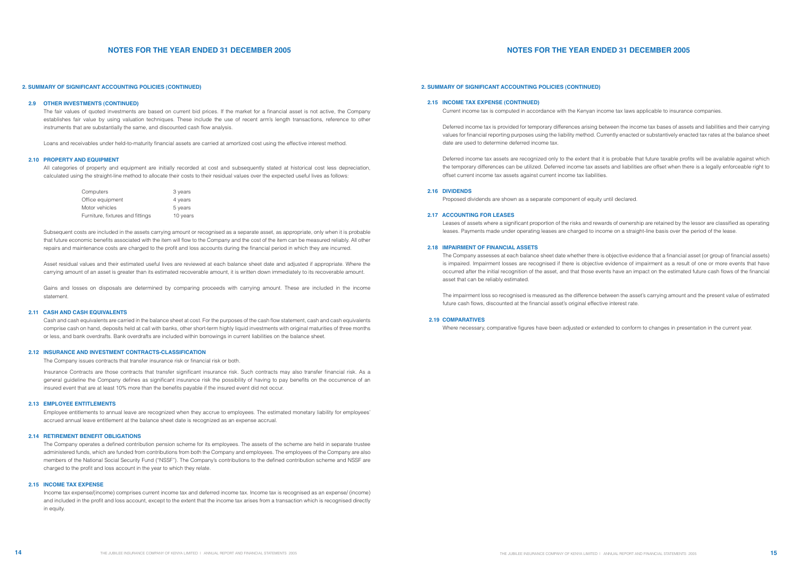#### 2. SUMMARY OF SIGNIFICANT ACCOUNTING POLICIES (CONTINUED)

#### **2.9 OTHER INVESTMENTS (CONTINUED)**

The fair values of quoted investments are based on current bid prices. If the market for a financial asset is not active, the Company establishes fair value by using valuation techniques. These include the use of recent arm's length transactions, reference to other instruments that are substantially the same, and discounted cash flow analysis.

All categories of property and equipment are initially recorded at cost and subsequently stated at historical cost less depreciation. calculated using the straight-line method to allocate their costs to their residual values over the expected useful lives as follows:

Loans and receivables under held-to-maturity financial assets are carried at amortized cost using the effective interest method.

#### **2.10 PROPERTY AND EQUIPMENT**

Subsequent costs are included in the assets carrying amount or recognised as a separate asset, as appropriate, only when it is probable that future economic benefits associated with the item will flow to the Company and the cost of the item can be measured reliably. All other repairs and maintenance costs are charged to the profit and loss accounts during the financial period in which they are incurred.

| Computers                        | 3 years  |
|----------------------------------|----------|
| Office equipment                 | 4 years  |
| Motor vehicles                   | 5 years  |
| Furniture, fixtures and fittings | 10 years |

Asset residual values and their estimated useful lives are reviewed at each balance sheet date and adjusted if appropriate. Where the carrying amount of an asset is greater than its estimated recoverable amount, it is written down immediately to its recoverable amount.

Gains and losses on disposals are determined by comparing proceeds with carrying amount. These are included in the income statement.

#### **2.11 CASH AND CASH EQUIVALENTS**

Cash and cash equivalents are carried in the balance sheet at cost. For the purposes of the cash flow statement, cash and cash equivalents comprise cash on hand, deposits held at call with banks, other short-term highly liquid investments with original maturities of three months or less, and bank overdrafts. Bank overdrafts are included within borrowings in current liabilities on the balance sheet.

### **2.12 INSURANCE AND INVESTMENT CONTRACTS-CLASSIFICATION**

The Company issues contracts that transfer insurance risk or financial risk or both.

Insurance Contracts are those contracts that transfer significant insurance risk. Such contracts may also transfer financial risk. As a general guideline the Company defines as significant insurance risk the possibility of having to pay benefits on the occurrence of an insured event that are at least 10% more than the benefits payable if the insured event did not occur.

#### **2.13 EMPLOYEE ENTITLEMENTS**

Employee entitlements to annual leave are recognized when they accrue to employees. The estimated monetary liability for employees' accrued annual leave entitlement at the balance sheet date is recognized as an expense accrual.

#### **2.14 RETIREMENT BENEFIT OBLIGATIONS**

The Company operates a defined contribution pension scheme for its employees. The assets of the scheme are held in separate trustee administered funds, which are funded from contributions from both the Company and employees. The employees of the Company are also members of the National Social Security Fund ("NSSF"). The Company's contributions to the defined contribution scheme and NSSF are charged to the profit and loss account in the year to which they relate.

#### **2.15 INCOME TAX EXPENSE**

Income tax expense/(income) comprises current income tax and deferred income tax. Income tax is recognised as an expense/ (income) and included in the profit and loss account, except to the extent that the income tax arises from a transaction which is recognised directly in equity.

# **NOTES FOR THE YEAR ENDED 31 DECEMBER 2005**

#### **2.15 INCOME TAX EXPENSE (CONTINUED)**

Current income tax is computed in accordance with the Kenyan income tax laws applicable to insurance companies.

Deferred income tax is provided for temporary differences arising between the income tax bases of assets and liabilities and their carrying values for financial reporting purposes using the liability method. Currently enacted or substantively enacted tax rates at the balance sheet date are used to determine deferred income tax.

Deferred income tax assets are recognized only to the extent that it is probable that future taxable profits will be available against which the temporary differences can be utilized. Deferred income tax assets and liabilities are offset when there is a legally enforceable right to offset current income tax assets against current income tax liabilities.

### **2.16 DIVIDENDS**

Proposed dividends are shown as a separate component of equity until declared.

### **2.17 ACCOUNTING FOR LEASES**

Leases of assets where a significant proportion of the risks and rewards of ownership are retained by the lessor are classified as operating leases. Payments made under operating leases are charged to income on a straight-line basis over the period of the lease.

#### **2.18 IMPAIRMENT OF FINANCIAL ASSETS**

The Company assesses at each balance sheet date whether there is objective evidence that a financial asset (or group of financial assets) is impaired. Impairment losses are recognised if there is objective evidence of impairment as a result of one or more events that have occurred after the initial recognition of the asset, and that those events have an impact on the estimated future cash flows of the financial asset that can be reliably estimated.

The impairment loss so recognised is measured as the difference between the asset's carrying amount and the present value of estimated future cash flows, discounted at the financial asset's original effective interest rate.

#### **2.19 COMPARATIVES**

Where necessary, comparative figures have been adjusted or extended to conform to changes in presentation in the current year.

## **2. SUMMARY OF SIGNIFICANT ACCOUNTING POLICIES (CONTINUED) 2. SUMMARY OF SIGNIFICANT ACCOUNTING POLICIES (CONTINUED)**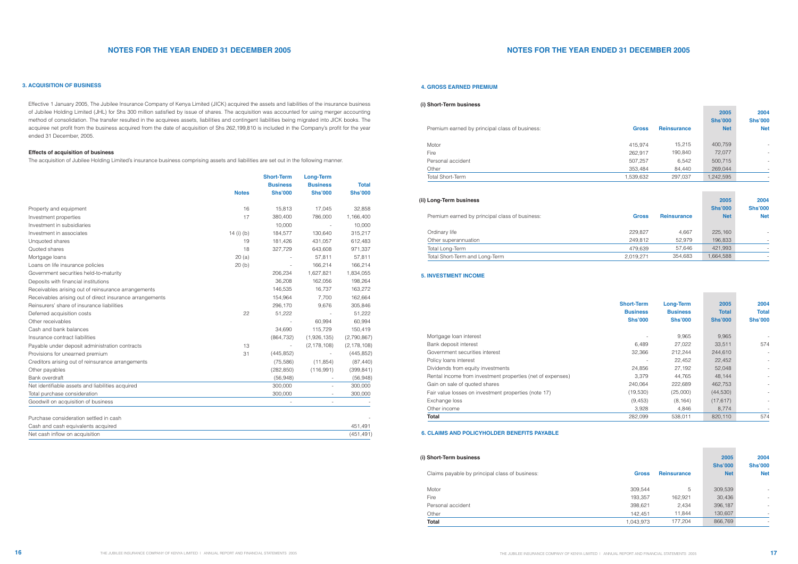## **3. ACQUISITION OF BUSINESS**

| <b>Reinsurance</b><br><b>Gross</b> | 2004<br>2005<br><b>Shs'000</b><br><b>Shs'000</b><br><b>Net</b><br><b>Net</b> |
|------------------------------------|------------------------------------------------------------------------------|
| 309,544                            | 309,539                                                                      |
| 5                                  | -                                                                            |
| 193,357                            | 30,436                                                                       |
| 162,921                            | -                                                                            |
| 398,621<br>2,434                   | 396,187                                                                      |
| 142,451                            | 130,607                                                                      |
| 11,844                             | ۰                                                                            |
| 1,043,973<br>177,204               | 866,769                                                                      |

| <b>Short-Term</b><br><b>Business</b><br><b>Shs'000</b> | <b>Long-Term</b><br><b>Business</b><br><b>Shs'000</b> | 2005<br><b>Total</b><br><b>Shs'000</b> | 2004<br><b>Total</b><br><b>Shs'000</b> |
|--------------------------------------------------------|-------------------------------------------------------|----------------------------------------|----------------------------------------|
|                                                        | 9,965                                                 | 9,965                                  |                                        |
| 6,489                                                  | 27,022                                                | 33,511                                 | 574                                    |
| 32,366                                                 | 212,244                                               | 244,610                                |                                        |
|                                                        | 22,452                                                | 22,452                                 |                                        |
| 24,856                                                 | 27,192                                                | 52,048                                 |                                        |
| 3,379                                                  | 44,765                                                | 48,144                                 |                                        |
| 240,064                                                | 222,689                                               | 462,753                                |                                        |
| (19,530)                                               | (25,000)                                              | (44, 530)                              |                                        |
| (9,453)                                                | (8, 164)                                              | (17, 617)                              |                                        |
| 3,928                                                  | 4,846                                                 | 8,774                                  |                                        |
| 282,099                                                | 538,011                                               | 820,110                                | 574                                    |

**Contract** 

| <b>Gross</b> | <b>Reinsurance</b> | 2005<br><b>Shs'000</b><br><b>Net</b> | 2004<br><b>Shs'000</b><br><b>Net</b> |
|--------------|--------------------|--------------------------------------|--------------------------------------|
| 229,827      | 4,667              | 225,160                              |                                      |
| 249,812      | 52,979             | 196,833                              |                                      |
| 479,639      | 57,646             | 421,993                              |                                      |
| 2,019,271    | 354,683            | 1,664,588                            |                                      |

Premium earned by principal class of business:

| Ordinary life                  |
|--------------------------------|
| Other superannuation           |
| Total Long-Term                |
| Total Short-Term and Long-Term |

| <b>Gross</b> | <b>Reinsurance</b> | 2005<br><b>Shs'000</b><br><b>Net</b> | 2004<br><b>Shs'000</b><br><b>Net</b> |
|--------------|--------------------|--------------------------------------|--------------------------------------|
| 415,974      | 15,215             | 400,759                              |                                      |
| 262,917      | 190,840            | 72,077                               |                                      |
| 507,257      | 6,542              | 500,715                              |                                      |
| 353,484      | 84,440             | 269,044                              |                                      |
| 1,539,632    | 297,037            | 1,242,595                            |                                      |

Premium earned by principal class of business:

| Motor                   |  |  |
|-------------------------|--|--|
| Fire                    |  |  |
| Personal accident       |  |  |
| Other                   |  |  |
| <b>Total Short-Term</b> |  |  |

|                                                          |                | <b>Short-Term</b> | <b>Long-Term</b> |                 |              |
|----------------------------------------------------------|----------------|-------------------|------------------|-----------------|--------------|
|                                                          |                | <b>Business</b>   |                  | <b>Business</b> | <b>Total</b> |
|                                                          | <b>Notes</b>   | <b>Shs'000</b>    | <b>Shs'000</b>   | <b>Shs'000</b>  |              |
| Property and equipment                                   | 16             | 15,813            | 17,045           | 32,858          |              |
| Investment properties                                    | 17             | 380,400           | 786,000          | 1,166,400       |              |
| Investment in subsidiaries                               |                | 10,000            |                  | 10,000          |              |
| Investment in associates                                 | 14 $(i)$ $(b)$ | 184,577           | 130,640          | 315,217         |              |
| Unquoted shares                                          | 19             | 181,426           | 431,057          | 612,483         |              |
| Quoted shares                                            | 18             | 327,729           | 643,608          | 971,337         |              |
| Mortgage loans                                           | 20(a)          |                   | 57,811           | 57,811          |              |
| Loans on life insurance policies                         | 20(b)          |                   | 166,214          | 166,214         |              |
| Government securities held-to-maturity                   |                | 206,234           | 1,627,821        | 1,834,055       |              |
| Deposits with financial institutions                     |                | 36,208            | 162,056          | 198,264         |              |
| Receivables arising out of reinsurance arrangements      |                | 146,535           | 16,737           | 163,272         |              |
| Receivables arising out of direct insurance arrangements |                | 154,964           | 7,700            | 162,664         |              |
| Reinsurers' share of insurance liabilities               |                | 296,170           | 9,676            | 305,846         |              |
| Deferred acquisition costs                               | 22             | 51,222            |                  | 51,222          |              |
| Other receivables                                        |                |                   | 60,994           | 60,994          |              |
| Cash and bank balances                                   |                | 34,690            | 115,729          | 150,419         |              |
| Insurance contract liabilities                           |                | (864, 732)        | (1,926,135)      | (2,790,867)     |              |
| Payable under deposit administration contracts           | 13             |                   | (2, 178, 108)    | (2, 178, 108)   |              |
| Provisions for unearned premium                          | 31             | (445, 852)        |                  | (445, 852)      |              |
| Creditors arising out of reinsurance arrangements        |                | (75, 586)         | (11, 854)        | (87, 440)       |              |
| Other payables                                           |                | (282, 850)        | (116,991)        | (399, 841)      |              |
| Bank overdraft                                           |                | (56,948)          |                  | (56, 948)       |              |
| Net identifiable assets and liabilities acquired         |                | 300,000           |                  | 300,000         |              |
| Total purchase consideration                             |                | 300,000           |                  | 300,000         |              |
| Goodwill on acquisition of business                      |                |                   |                  |                 |              |
| Purchase consideration settled in cash                   |                |                   |                  |                 |              |
| Cash and cash equivalents acquired                       |                |                   |                  | 451,491         |              |
| Net cash inflow on acquisition                           |                |                   |                  | (451, 491)      |              |

# **NOTES FOR THE YEAR ENDED 31 DECEMBER 2005 NOTES FOR THE YEAR ENDED 31 DECEMBER 2005**

Effective 1 January 2005, The Jubilee Insurance Company of Kenya Limited (JICK) acquired the assets and liabilities of the insurance business of Jubilee Holding Limited (JHL) for Shs 300 million satisfied by issue of shares. The acquisition was accounted for using merger accounting method of consolidation. The transfer resulted in the acquirees assets, liabilities and contingent liabilities being migrated into JICK books. The acquiree net profit from the business acquired from the date of acquisition of Shs 262,199,810 is included in the Company's profit for the year ended 31 December, 2005.

### **Effects of acquisition of business**

The acquisition of Jubilee Holding Limited's insurance business comprising assets and liabilities are set out in the following manner.

| Mortgage Ioan interest                                     |
|------------------------------------------------------------|
| Bank deposit interest                                      |
| Government securities interest                             |
| Policy loans interest                                      |
| Dividends from equity investments                          |
| Rental income from investment properties (net of expenses) |
| Gain on sale of quoted shares                              |
| Fair value losses on investment properties (note 17)       |
| Exchange loss                                              |
| Other income                                               |
| Total                                                      |

Claims payable by principal class of business:

| Total             |  |  |
|-------------------|--|--|
| Other             |  |  |
| Personal accident |  |  |
| Fire              |  |  |
| Motor             |  |  |
|                   |  |  |

## **5. INVESTMENT INCOME**

#### **4. GROSS EARNED PREMIUM**

### **6. CLAIMS AND POLICYHOLDER BENEFITS PAYABLE**

### **(i) Short-Term business**

### **(ii) Long-Term business**

## **(i) Short-Term business**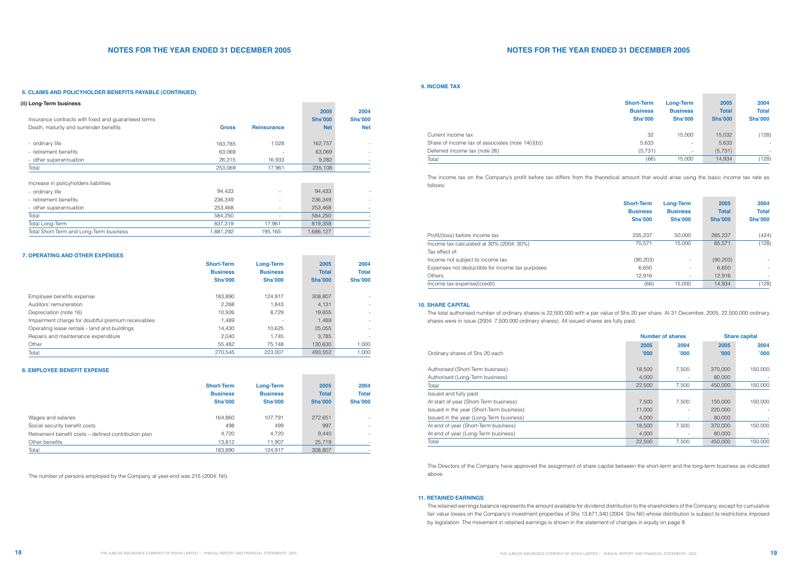| <b>Short-Term</b><br><b>Business</b><br><b>Shs'000</b> | <b>Long-Term</b><br><b>Business</b><br><b>Shs'000</b> | 2005<br><b>Total</b><br><b>Shs'000</b> | 2004<br><b>Total</b><br><b>Shs'000</b> |
|--------------------------------------------------------|-------------------------------------------------------|----------------------------------------|----------------------------------------|
| 32                                                     | 15,000                                                | 15,032                                 | (128)                                  |
| 5,633                                                  |                                                       | 5,633                                  |                                        |
| (5,731)                                                |                                                       | (5,731)                                |                                        |
| (66)                                                   | 15,000                                                | 14,934                                 | (128)                                  |

# **NOTES FOR THE YEAR ENDED 31 DECEMBER 2005 NOTES FOR THE YEAR ENDED 31 DECEMBER 2005**

|                                                      | <b>Short-Term</b><br><b>Business</b><br><b>Shs'000</b> | <b>Long-Term</b><br><b>Business</b><br><b>Shs'000</b> | 2005<br><b>Total</b><br><b>Shs'000</b> | 2004<br><b>Total</b><br><b>Shs'000</b> |
|------------------------------------------------------|--------------------------------------------------------|-------------------------------------------------------|----------------------------------------|----------------------------------------|
| Wages and salaries                                   | 164,860                                                | 107.791                                               | 272,651                                |                                        |
| Social security benefit costs                        | 498                                                    | 499                                                   | 997                                    |                                        |
| Retirement benefit costs - defined contribution plan | 4.720                                                  | 4,720                                                 | 9.440                                  |                                        |
| Other benefits                                       | 13,812                                                 | 11,907                                                | 25,719                                 |                                        |
| Total                                                | 183,890                                                | 124,917                                               | 308,807                                |                                        |

**College** 

#### **11. RETAINED EARNINGS**

|                                                    | <b>Short-Term</b> | <b>Long-Term</b>         | 2005           | 2004                     |
|----------------------------------------------------|-------------------|--------------------------|----------------|--------------------------|
|                                                    | <b>Business</b>   | <b>Business</b>          | <b>Total</b>   | <b>Total</b>             |
|                                                    | <b>Shs'000</b>    | <b>Shs'000</b>           | <b>Shs'000</b> | <b>Shs'000</b>           |
|                                                    |                   |                          |                |                          |
| Employee benefits expense                          | 183.890           | 124.917                  | 308,807        |                          |
| Auditors' remuneration                             | 2.288             | 1.843                    | 4,131          |                          |
| Depreciation (note 16)                             | 10.926            | 8.729                    | 19,655         | $\overline{\phantom{0}}$ |
| Impairment charge for doubtful premium receivables | 1,489             | $\overline{\phantom{a}}$ | 1,489          |                          |
| Operating lease rentals - land and buildings       | 14.430            | 10.625                   | 25,055         | $\overline{\phantom{0}}$ |
| Repairs and maintenance expenditure                | 2.040             | 1.745                    | 3.785          |                          |
| Other                                              | 55.482            | 75.148                   | 130.630        | 1,000                    |
| Total                                              | 270.545           | 223.007                  | 493.552        | 1.000                    |

|                                                 | <b>Short-Term</b><br><b>Business</b><br><b>Shs'000</b> | <b>Long-Term</b><br><b>Business</b><br><b>Shs'000</b> | 2005<br><b>Total</b><br><b>Shs'000</b> | 2004<br><b>Total</b><br><b>Shs'000</b> |
|-------------------------------------------------|--------------------------------------------------------|-------------------------------------------------------|----------------------------------------|----------------------------------------|
| Profit/(loss) before income tax                 | 235.237                                                | 50,000                                                | 285,237                                | (424)                                  |
| Income tax calculated at 30% (2004: 30%)        | 70.571                                                 | 15,000                                                | 85,571                                 | (128)                                  |
| Tax effect of:                                  |                                                        |                                                       |                                        |                                        |
| Income not subject to income tax                | (90, 203)                                              | $\overline{\phantom{a}}$                              | (90, 203)                              | $\sim$                                 |
| Expenses not deductible for income tax purposes | 6,650                                                  | $\overline{\phantom{a}}$                              | 6.650                                  | $\overline{\phantom{a}}$               |
| <b>Others</b>                                   | 12,916                                                 | $\overline{\phantom{a}}$                              | 12,916                                 | $\overline{\phantom{a}}$               |
| Income tax expense/(credit)                     | (66)                                                   | 15.000                                                | 14.934                                 | (128)                                  |

### **10. SHARE CAPITAL**

### **9. INCOME TAX**

#### **6. CLAIMS AND POLICYHOLDER BENEFITS PAYABLE (CONTINUED)**

#### **7. OPERATING AND OTHER EXPENSES**

### **8. EMPLOYEE BENEFIT EXPENSE**

The number of persons employed by the Company at year-end was 215 (2004: Nil).

| Current income tax                                |
|---------------------------------------------------|
| Share of income tax of associates (note 14(i)(b)) |
| Deferred income tax (note 26)                     |
| Total                                             |

| (ii) Long-Term business                                                                       |              |                          |                                      |                                      |
|-----------------------------------------------------------------------------------------------|--------------|--------------------------|--------------------------------------|--------------------------------------|
| Insurance contracts with fixed and guaranteed terms<br>Death, maturity and surrender benefits | <b>Gross</b> | <b>Reinsurance</b>       | 2005<br><b>Shs'000</b><br><b>Net</b> | 2004<br><b>Shs'000</b><br><b>Net</b> |
| - ordinary life                                                                               | 163,785      | 1,028                    | 162,757                              |                                      |
| - retirement benefits                                                                         | 63,069       |                          | 63,069                               |                                      |
| - other superannuation                                                                        | 26,215       | 16,933                   | 9,282                                |                                      |
| Total                                                                                         | 253,069      | 17,961                   | 235,108                              |                                      |
| Increase in policyholders liabilities                                                         |              |                          |                                      |                                      |
| - ordinary life                                                                               | 94,433       | $\overline{\phantom{a}}$ | 94,433                               |                                      |
| - retirement benefits                                                                         | 236,349      | $\overline{\phantom{a}}$ | 236,349                              |                                      |
| - other superannuation                                                                        | 253,468      | $\overline{\phantom{a}}$ | 253,468                              |                                      |
| Total                                                                                         | 584,250      | $\overline{\phantom{a}}$ | 584,250                              |                                      |
| Total Long-Term                                                                               | 837,319      | 17,961                   | 819,358                              |                                      |
| Total Short-Term and Long-Term business                                                       | 1,881,292    | 195,165                  | 1,686,127                            |                                      |

|                                          |        | <b>Number of shares</b>  |         | <b>Share capital</b> |  |
|------------------------------------------|--------|--------------------------|---------|----------------------|--|
|                                          | 2005   | 2004                     | 2005    | 2004                 |  |
| Ordinary shares of Shs 20 each           | '000'  | '000                     | '000    | '000                 |  |
| Authorised (Short-Term business)         | 18,500 | 7,500                    | 370,000 | 150,000              |  |
| Authorised (Long-Term business)          | 4,000  |                          | 80,000  |                      |  |
| Total                                    | 22,500 | 7,500                    | 450,000 | 150,000              |  |
| Issued and fully paid                    |        |                          |         |                      |  |
| At start of year (Short-Term business)   | 7,500  | 7,500                    | 150,000 | 150,000              |  |
| Issued in the year (Short-Term business) | 11,000 |                          | 220,000 |                      |  |
| Issued in the year (Long-Term business)  | 4,000  | $\overline{\phantom{a}}$ | 80,000  |                      |  |
| At end of year (Short-Term business)     | 18,500 | 7,500                    | 370,000 | 150,000              |  |
| At end of year (Long-Term business)      | 4,000  |                          | 80,000  |                      |  |
| Total                                    | 22,500 | 7.500                    | 450,000 | 150.000              |  |

The total authorised number of ordinary shares is 22,500,000 with a par value of Shs 20 per share. At 31 December, 2005, 22,500,000 ordinary shares were in issue (2004: 7,500,000 ordinary shares). All issued shares are fully paid.

The Directors of the Company have approved the assignment of share capital between the short-term and the long-term business as indicated above.

The retained earnings balance represents the amount available for dividend distribution to the shareholders of the Company, except for cumulative fair value losses on the Company's investment properties of Shs 13,671,340 (2004: Shs Nil) whose distribution is subject to restrictions imposed by legislation. The movement in retained earnings is shown in the statement of changes in equity on page 9.

The income tax on the Company's profit before tax differs from the theoretical amount that would arise using the basic income tax rate as follows: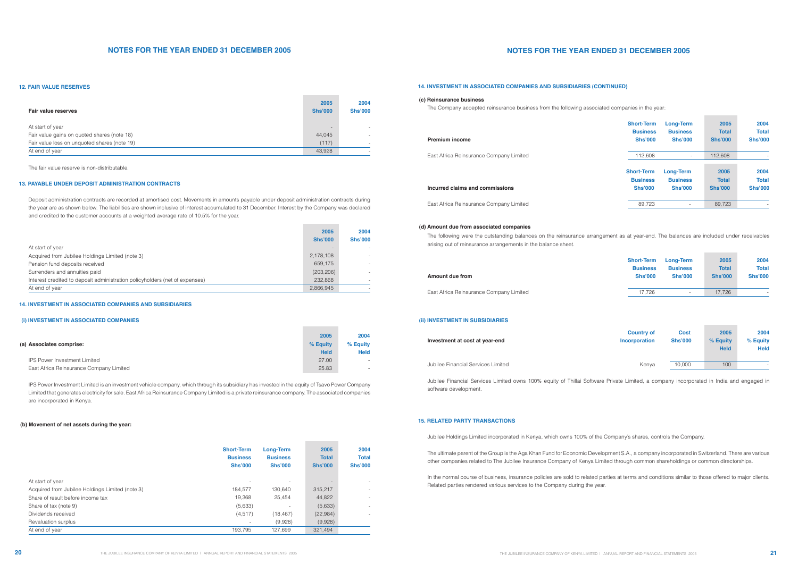The fair value reserve is non-distributable.

Deposit administration contracts are recorded at amortised cost. Movements in amounts payable under deposit administration contracts during the year are as shown below. The liabilities are shown inclusive of interest accumulated to 31 December. Interest by the Company was declared and credited to the customer accounts at a weighted average rate of 10.5% for the year.

**Contract Contract** 

IPS Power Investment Limited is an investment vehicle company, which through its subsidiary has invested in the equity of Tsavo Power Company Limited that generates electricity for sale. East Africa Reinsurance Company Limited is a private reinsurance company. The associated companies are incorporated in Kenya.

| (a) Associates comprise:                | 2005<br>% Equity<br><b>Held</b> | 2004<br>% Equity<br><b>Held</b> |
|-----------------------------------------|---------------------------------|---------------------------------|
| <b>IPS Power Investment Limited</b>     | 27.00                           | $\sim$                          |
| East Africa Reinsurance Company Limited | 25.83                           | $\sim$                          |

|                                                 | <b>Short-Term</b><br><b>Business</b><br><b>Shs'000</b> | <b>Long-Term</b><br><b>Business</b><br><b>Shs'000</b> | 2005<br><b>Total</b><br><b>Shs'000</b> | 2004<br><b>Total</b><br><b>Shs'000</b> |
|-------------------------------------------------|--------------------------------------------------------|-------------------------------------------------------|----------------------------------------|----------------------------------------|
| At start of year                                |                                                        |                                                       |                                        |                                        |
| Acquired from Jubilee Holdings Limited (note 3) | 184.577                                                | 130.640                                               | 315,217                                |                                        |
| Share of result before income tax               | 19.368                                                 | 25.454                                                | 44,822                                 |                                        |
| Share of tax (note 9)                           | (5,633)                                                | $\overline{\phantom{a}}$                              | (5,633)                                |                                        |
| Dividends received                              | (4, 517)                                               | (18, 467)                                             | (22, 984)                              |                                        |
| Revaluation surplus                             | $\overline{\phantom{a}}$                               | (9,928)                                               | (9,928)                                |                                        |
| At end of year                                  | 193.795                                                | 127.699                                               | 321,494                                |                                        |

|                                                                             | 2005           | 2004           |
|-----------------------------------------------------------------------------|----------------|----------------|
|                                                                             | <b>Shs'000</b> | <b>Shs'000</b> |
| At start of year                                                            |                |                |
| Acquired from Jubilee Holdings Limited (note 3)                             | 2,178,108      |                |
| Pension fund deposits received                                              | 659,175        |                |
| Surrenders and annuities paid                                               | (203, 206)     |                |
| Interest credited to deposit administration policyholders (net of expenses) | 232.868        |                |
| At end of year                                                              | 2,866,945      |                |

### **12. FAIR VALUE RESERVES**

### **13. PAYABLE UNDER DEPOSIT ADMINISTRATION CONTRACTS**

| Fair value reserves                          | 2005<br><b>Shs'000</b>   | 2004<br><b>Shs'000</b> |
|----------------------------------------------|--------------------------|------------------------|
| At start of year                             | $\overline{\phantom{a}}$ |                        |
| Fair value gains on quoted shares (note 18)  | 44,045                   |                        |
| Fair value loss on unquoted shares (note 19) | (117)                    |                        |
| At end of year                               | 43,928                   |                        |

#### **14. INVESTMENT IN ASSOCIATED COMPANIES AND SUBSIDIARIES**

### **14. INVESTMENT IN ASSOCIATED COMPANIES AND SUBSIDIARIES (CONTINUED)**

#### **(c) Reinsurance business**

#### **(d) Amount due from associated companies**

#### **15. RELATED PARTY TRANSACTIONS**

#### **(i) INVESTMENT IN ASSOCIATED COMPANIES**

#### **(b) Movement of net assets during the year:**

# **NOTES FOR THE YEAR ENDED 31 DECEMBER 2005**

The Company accepted reinsurance business from the following associated companies in the year:

#### **Incurred claims and commissions**

| <b>Premium income</b>                   | <b>Short-Term</b> | <b>Long-Term</b>         | 2005           | 2004                     |
|-----------------------------------------|-------------------|--------------------------|----------------|--------------------------|
|                                         | <b>Business</b>   | <b>Business</b>          | <b>Total</b>   | <b>Total</b>             |
|                                         | <b>Shs'000</b>    | <b>Shs'000</b>           | <b>Shs'000</b> | <b>Shs'000</b>           |
| East Africa Reinsurance Company Limited | 112,608           | $\overline{\phantom{a}}$ | 112,608        |                          |
| Incurred claims and commissions         | <b>Short-Term</b> | <b>Long-Term</b>         | 2005           | 2004                     |
|                                         | <b>Business</b>   | <b>Business</b>          | <b>Total</b>   | <b>Total</b>             |
|                                         | <b>Shs'000</b>    | <b>Shs'000</b>           | <b>Shs'000</b> | <b>Shs'000</b>           |
| East Africa Reinsurance Company Limited | 89,723            | $\sim$                   | 89,723         | $\overline{\phantom{a}}$ |

The following were the outstanding balances on the reinsurance arrangement as at year-end. The balances are included under receivables arising out of reinsurance arrangements in the balance sheet.

#### **Amount due from**

| <b>Short-Term</b><br><b>Business</b><br><b>Shs'000</b> | <b>Business</b><br><b>Shs'000</b> | 2005<br><b>Total</b><br><b>Shs'000</b> | 2004<br><b>Total</b><br><b>Shs'000</b> |
|--------------------------------------------------------|-----------------------------------|----------------------------------------|----------------------------------------|
| 17.726                                                 | $\overline{\phantom{0}}$          | 17.726                                 | $\overline{\phantom{a}}$               |
|                                                        |                                   | <b>Long-Term</b>                       |                                        |

| Investment at cost at year-end     | <b>Country of</b><br><b>Incorporation</b> | <b>Cost</b><br><b>Shs'000</b> | 2005<br>% Equity<br><b>Held</b> | 2004<br>% Equity<br><b>Held</b> |
|------------------------------------|-------------------------------------------|-------------------------------|---------------------------------|---------------------------------|
| Jubilee Financial Services Limited | Kenva                                     | 10.000                        | 100                             | $\overline{\phantom{0}}$        |
|                                    |                                           |                               |                                 |                                 |

Jubilee Financial Services Limited owns 100% equity of Thillai Software Private Limited, a company incorporated in India and engaged in software development.

Jubilee Holdings Limited incorporated in Kenya, which owns 100% of the Company's shares, controls the Company.

# **(ii) INVESTMENT IN SUBSIDIARIES**

### **Investment at cost at year-end**

The ultimate parent of the Group is the Aga Khan Fund for Economic Development S.A., a company incorporated in Switzerland. There are various other companies related to The Jubilee Insurance Company of Kenya Limited through common shareholdings or common directorships.

In the normal course of business, insurance policies are sold to related parties at terms and conditions similar to those offered to major clients. Related parties rendered various services to the Company during the year.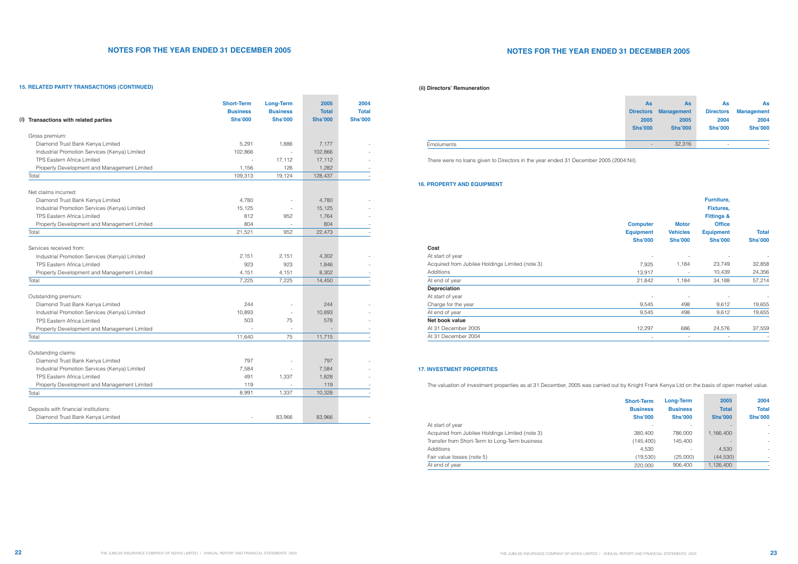There were no loans given to Directors in the year ended 31 December 2005 (2004:Nil).

The valuation of investment properties as at 31 December, 2005 was carried out by Knight Frank Kenya Ltd on the basis of open market value.

| <b>Shs'000</b> | <b>Long-Term</b><br><b>Business</b><br><b>Shs'000</b> | 2005<br><b>Total</b><br><b>Shs'000</b> | 2004<br><b>Total</b><br><b>Shs'000</b> |
|----------------|-------------------------------------------------------|----------------------------------------|----------------------------------------|
|                |                                                       |                                        |                                        |
| 380,400        | 786,000                                               | 1,166,400                              | $\overline{a}$                         |
| (145, 400)     | 145,400                                               |                                        | ÷                                      |
| 4.530          |                                                       | 4,530                                  | $\overline{a}$                         |
| (19,530)       | (25,000)                                              | (44, 530)                              |                                        |
| 220,000        | 906,400                                               | 1,126,400                              |                                        |
|                | <b>Short-Term</b><br><b>Business</b>                  |                                        |                                        |

|                                                 | <b>Computer</b><br><b>Equipment</b> | <b>Motor</b><br><b>Vehicles</b> | Furniture,<br><b>Fixtures,</b><br><b>Fittings &amp;</b><br><b>Office</b><br><b>Equipment</b> | <b>Total</b>             |
|-------------------------------------------------|-------------------------------------|---------------------------------|----------------------------------------------------------------------------------------------|--------------------------|
|                                                 | <b>Shs'000</b>                      | <b>Shs'000</b>                  | <b>Shs'000</b>                                                                               | <b>Shs'000</b>           |
| Cost                                            |                                     |                                 |                                                                                              |                          |
| At start of year                                |                                     |                                 |                                                                                              |                          |
| Acquired from Jubilee Holdings Limited (note 3) | 7,925                               | 1,184                           | 23,749                                                                                       | 32,858                   |
| Additions                                       | 13,917                              | $\overline{\phantom{a}}$        | 10,439                                                                                       | 24,356                   |
| At end of year                                  | 21,842                              | 1,184                           | 34,188                                                                                       | 57,214                   |
| Depreciation                                    |                                     |                                 |                                                                                              |                          |
| At start of year                                |                                     |                                 |                                                                                              |                          |
| Charge for the year                             | 9,545                               | 498                             | 9,612                                                                                        | 19,655                   |
| At end of year                                  | 9,545                               | 498                             | 9,612                                                                                        | 19,655                   |
| Net book value                                  |                                     |                                 |                                                                                              |                          |
| At 31 December 2005                             | 12,297                              | 686                             | 24,576                                                                                       | 37,559                   |
| At 31 December 2004                             |                                     |                                 |                                                                                              | $\overline{\phantom{a}}$ |

| (i) Transactions with related parties         | <b>Short-Term</b><br><b>Business</b><br><b>Shs'000</b> | <b>Long-Term</b><br><b>Business</b><br><b>Shs'000</b> | 2005<br><b>Total</b><br><b>Shs'000</b> | 2004<br><b>Total</b><br><b>Shs'000</b> |
|-----------------------------------------------|--------------------------------------------------------|-------------------------------------------------------|----------------------------------------|----------------------------------------|
| Gross premium:                                |                                                        |                                                       |                                        |                                        |
| Diamond Trust Bank Kenya Limited              | 5,291                                                  | 1,886                                                 | 7,177                                  |                                        |
| Industrial Promotion Services (Kenya) Limited | 102,866                                                |                                                       | 102,866                                |                                        |
| <b>TPS Eastern Africa Limited</b>             |                                                        | 17,112                                                | 17,112                                 |                                        |
| Property Development and Management Limited   | 1,156                                                  | 126                                                   | 1,282                                  |                                        |
| Total                                         | 109,313                                                | 19,124                                                | 128,437                                |                                        |
| Net claims incurred:                          |                                                        |                                                       |                                        |                                        |
| Diamond Trust Bank Kenya Limited              | 4,780                                                  |                                                       | 4,780                                  |                                        |
| Industrial Promotion Services (Kenya) Limited | 15,125                                                 |                                                       | 15,125                                 |                                        |
| <b>TPS Eastern Africa Limited</b>             | 812                                                    | 952                                                   | 1,764                                  |                                        |
| Property Development and Management Limited   | 804                                                    |                                                       | 804                                    |                                        |
| Total                                         | 21,521                                                 | 952                                                   | 22,473                                 |                                        |
| Services received from:                       |                                                        |                                                       |                                        |                                        |
| Industrial Promotion Services (Kenya) Limited | 2,151                                                  | 2,151                                                 | 4,302                                  |                                        |
| <b>TPS Eastern Africa Limited</b>             | 923                                                    | 923                                                   | 1,846                                  |                                        |
| Property Development and Management Limited   | 4,151                                                  | 4,151                                                 | 8,302                                  |                                        |
| Total                                         | 7,225                                                  | 7,225                                                 | 14,450                                 |                                        |
| Outstanding premium:                          |                                                        |                                                       |                                        |                                        |
| Diamond Trust Bank Kenya Limited              | 244                                                    |                                                       | 244                                    |                                        |
| Industrial Promotion Services (Kenya) Limited | 10,893                                                 |                                                       | 10,893                                 |                                        |
| <b>TPS Eastern Africa Limited</b>             | 503                                                    | 75                                                    | 578                                    |                                        |
| Property Development and Management Limited   |                                                        |                                                       |                                        |                                        |
| Total                                         | 11,640                                                 | 75                                                    | 11,715                                 |                                        |
| Outstanding claims:                           |                                                        |                                                       |                                        |                                        |
| Diamond Trust Bank Kenya Limited              | 797                                                    |                                                       | 797                                    |                                        |
| Industrial Promotion Services (Kenya) Limited | 7,584                                                  |                                                       | 7,584                                  |                                        |
| <b>TPS Eastern Africa Limited</b>             | 491                                                    | 1,337                                                 | 1,828                                  |                                        |
| Property Development and Management Limited   | 119                                                    |                                                       | 119                                    |                                        |
| Total                                         | 8,991                                                  | 1,337                                                 | 10,328                                 |                                        |
| Deposits with financial institutions:         |                                                        |                                                       |                                        |                                        |
| Diamond Trust Bank Kenya Limited              |                                                        | 83,966                                                | 83,966                                 |                                        |

# **NOTES FOR THE YEAR ENDED 31 DECEMBER 2005**

## **15. RELATED PARTY TRANSACTIONS (CONTINUED)**

#### **(ii) Directors' Remuneration**

### **16. PROPERTY AND EQUIPMENT**

## **17. INVESTMENT PROPERTIES**

At start of year Acquired from Jubilee Holdings Limited (note 3) Transfer from Short-Term to Long-Term business Additions Fair value losses (note 5) At end of year

| As                       | <b>As</b>                   | As                       | As                       |
|--------------------------|-----------------------------|--------------------------|--------------------------|
|                          | <b>Directors Management</b> | <b>Directors</b>         | <b>Management</b>        |
| 2005                     | 2005                        | 2004                     | 2004                     |
| <b>Shs'000</b>           | <b>Shs'000</b>              | <b>Shs'000</b>           | <b>Shs'000</b>           |
|                          |                             |                          |                          |
| $\overline{\phantom{a}}$ | 32,316                      | $\overline{\phantom{a}}$ | $\overline{\phantom{a}}$ |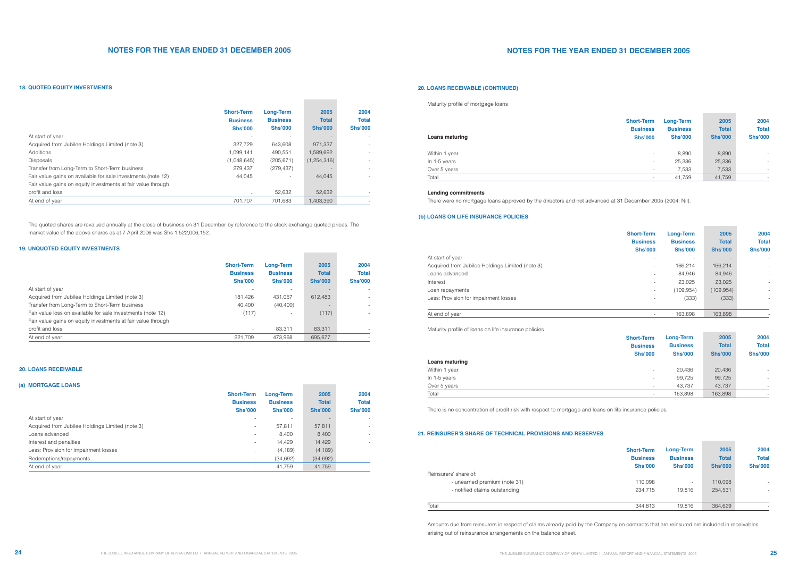| At start of year                                |
|-------------------------------------------------|
| Acquired from Jubilee Holdings Limited (note 3) |
| Loans advanced                                  |
| Interest                                        |
| Loan repayments                                 |
| Less: Provision for impairment losses           |

#### At end of year

# **NOTES FOR THE YEAR ENDED 31 DECEMBER 2005**

#### **Lending commitments**

There were no mortgage loans approved by the directors and not advanced at 31 December 2005 (2004: Nil).

Maturity profile of loans on life insurance policies

There is no concentration of credit risk with respect to mortgage and loans on life insurance policies.

Amounts due from reinsurers in respect of claims already paid by the Company on contracts that are reinsured are included in receivables arising out of reinsurance arrangements on the balance sheet.

|                                                              | <b>Short-Term</b><br><b>Business</b><br><b>Shs'000</b> | <b>Long-Term</b><br><b>Business</b><br><b>Shs'000</b> | 2005<br><b>Total</b><br><b>Shs'000</b> | 2004<br><b>Total</b><br><b>Shs'000</b> |
|--------------------------------------------------------------|--------------------------------------------------------|-------------------------------------------------------|----------------------------------------|----------------------------------------|
| At start of year                                             |                                                        |                                                       |                                        |                                        |
| Acquired from Jubilee Holdings Limited (note 3)              | 181,426                                                | 431.057                                               | 612.483                                | $\overline{\phantom{a}}$               |
| Transfer from Long-Term to Short-Term business               | 40.400                                                 | (40, 400)                                             |                                        |                                        |
| Fair value loss on available for sale investments (note 12)  | (117)                                                  | $\overline{\phantom{a}}$                              | (117)                                  |                                        |
| Fair value gains on equity investments at fair value through |                                                        |                                                       |                                        |                                        |
| profit and loss                                              | $\qquad \qquad \blacksquare$                           | 83.311                                                | 83.311                                 |                                        |
| At end of year                                               | 221.709                                                | 473.968                                               | 695,677                                |                                        |

#### At start of year Acquired from Jubilee Holdings Limited (note 3) Loans advanced Interest and penalties Less: Provision for impairment losses Redemptions/repayments At end of year **2005 Total Shs'000** - 57,811 8,400 14,429 (4,189) (34,692) 41,759 **Short-Term Business Shs'000** - - - - - - - **Long-Term Business Shs'000** - 57,811 8,400 14,429 (4,189) (34,692) 41,759 **2004 Total Shs'000 (a) MORTGAGE LOANS**

The quoted shares are revalued annually at the close of business on 31 December by reference to the stock exchange quoted prices. The market value of the above shares as at 7 April 2006 was Shs 1,522,006,152.

> - - - -

> - -

| Maturity profile of mortgage loans |                                                        |                                                       |                                        |                                        |
|------------------------------------|--------------------------------------------------------|-------------------------------------------------------|----------------------------------------|----------------------------------------|
| Loans maturing                     | <b>Short-Term</b><br><b>Business</b><br><b>Shs'000</b> | <b>Long-Term</b><br><b>Business</b><br><b>Shs'000</b> | 2005<br><b>Total</b><br><b>Shs'000</b> | 2004<br><b>Total</b><br><b>Shs'000</b> |
| Within 1 year                      | $\overline{\phantom{a}}$                               | 8,890                                                 | 8,890                                  | $\overline{\phantom{a}}$               |
| In 1-5 years                       | $\overline{\phantom{a}}$                               | 25,336                                                | 25,336                                 | $\overline{\phantom{a}}$               |
| Over 5 years                       | $\overline{\phantom{a}}$                               | 7,533                                                 | 7,533                                  | $\overline{\phantom{a}}$               |
| Total                              | $\overline{\phantom{a}}$                               | 41,759                                                | 41,759                                 | $\overline{\phantom{a}}$               |

|                                                              | <b>Short-Term</b><br><b>Business</b><br><b>Shs'000</b> | <b>Long-Term</b><br><b>Business</b><br><b>Shs'000</b> | 2005<br><b>Total</b><br><b>Shs'000</b> | 2004<br><b>Total</b><br><b>Shs'000</b> |
|--------------------------------------------------------------|--------------------------------------------------------|-------------------------------------------------------|----------------------------------------|----------------------------------------|
| At start of year                                             |                                                        |                                                       |                                        |                                        |
| Acquired from Jubilee Holdings Limited (note 3)              | 327.729                                                | 643.608                                               | 971.337                                |                                        |
| Additions                                                    | 1.099.141                                              | 490.551                                               | 1,589,692                              |                                        |
| <b>Disposals</b>                                             | (1,048,645)                                            | (205, 671)                                            | (1,254,316)                            |                                        |
| Transfer from Long-Term to Short-Term business               | 279.437                                                | (279, 437)                                            |                                        |                                        |
| Fair value gains on available for sale investments (note 12) | 44.045                                                 |                                                       | 44.045                                 |                                        |
| Fair value gains on equity investments at fair value through |                                                        |                                                       |                                        |                                        |
| profit and loss                                              |                                                        | 52.632                                                | 52.632                                 |                                        |
| At end of year                                               | 701.707                                                | 701.683                                               | 1,403,390                              |                                        |

**Contract** 

**Contract Contract** 

**Contract Contract** 

| .              | <b>Short-Term</b><br><b>Business</b><br><b>Shs'000</b> | <b>Long-Term</b><br><b>Business</b><br><b>Shs'000</b> | 2005<br><b>Total</b><br><b>Shs'000</b> | 2004<br><b>Total</b><br><b>Shs'000</b> |
|----------------|--------------------------------------------------------|-------------------------------------------------------|----------------------------------------|----------------------------------------|
| Loans maturing |                                                        |                                                       |                                        |                                        |
| Within 1 year  | $\overline{\phantom{0}}$                               | 20,436                                                | 20,436                                 | $\overline{\phantom{a}}$               |
| In 1-5 years   | $\overline{\phantom{0}}$                               | 99,725                                                | 99,725                                 |                                        |
| Over 5 years   | $\overline{\phantom{0}}$                               | 43,737                                                | 43,737                                 | $\overline{\phantom{a}}$               |
| Total          | $\overline{\phantom{0}}$                               | 163,898                                               | 163,898                                | $\overline{\phantom{a}}$               |
|                |                                                        |                                                       |                                        |                                        |

### **18. QUOTED EQUITY INVESTMENTS**

### **19. UNQUOTED EQUITY INVESTMENTS**

## **20. LOANS RECEIVABLE**

### **20. LOANS RECEIVABLE (CONTINUED)**

## **21. REINSURER'S SHARE OF TECHNICAL PROVISIONS AND RESERVES**

### **(b) LOANS ON LIFE INSURANCE POLICIES**

| <b>Short-Term</b><br><b>Business</b><br><b>Shs'000</b> | <b>Long-Term</b><br><b>Business</b><br><b>Shs'000</b> | 2005<br><b>Total</b><br><b>Shs'000</b> | 2004<br><b>Total</b><br><b>Shs'000</b> |
|--------------------------------------------------------|-------------------------------------------------------|----------------------------------------|----------------------------------------|
|                                                        |                                                       |                                        |                                        |
|                                                        | 166,214                                               | 166,214                                |                                        |
|                                                        | 84,946                                                | 84,946                                 | $\overline{\phantom{0}}$               |
|                                                        | 23,025                                                | 23,025                                 | $\overline{\phantom{0}}$               |
|                                                        | (109, 954)                                            | (109, 954)                             | $\overline{a}$                         |
|                                                        | (333)                                                 | (333)                                  | $\overline{\phantom{0}}$               |
|                                                        |                                                       |                                        |                                        |
|                                                        | 163,898                                               | 163,898                                |                                        |

| <b>Short-Term</b><br><b>Business</b><br><b>Shs'000</b> | <b>Long-Term</b><br><b>Business</b><br><b>Shs'000</b> | 2005<br><b>Total</b><br><b>Shs'000</b> | 2004<br><b>Total</b><br><b>Shs'000</b> |
|--------------------------------------------------------|-------------------------------------------------------|----------------------------------------|----------------------------------------|
| 110,098<br>234.715                                     | 19.816                                                | 110,098<br>254.531                     |                                        |
| 344,813                                                | 19,816                                                | 364,629                                |                                        |

Reinsurers' share of:

- unearned premium (note 31)
- notified claims outstanding

Total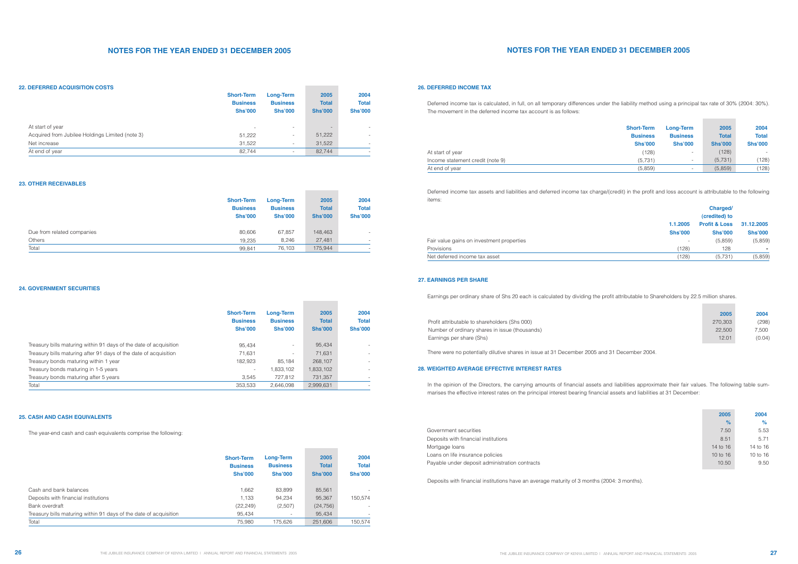Deferred income tax is calculated, in full, on all temporary differences under the liability method using a principal tax rate of 30% (2004: 30%). The movement in the deferred income tax account is as follows:

In the opinion of the Directors, the carrying amounts of financial assets and liabilities approximate their fair values. The following table summarises the effective interest rates on the principal interest bearing financial assets and liabilities at 31 December:

Deferred income tax assets and liabilities and deferred income tax charge/(credit) in the profit and loss account is attributable to the following items:

Earnings per ordinary share of Shs 20 each is calculated by dividing the profit attributable to Shareholders by 22.5 million shares.

There were no potentially dilutive shares in issue at 31 December 2005 and 31 December 2004.

|                                                 | <b>Short-Term</b>        | <b>Long-Term</b>         | 2005                     | 2004                     |
|-------------------------------------------------|--------------------------|--------------------------|--------------------------|--------------------------|
|                                                 | <b>Business</b>          | <b>Business</b>          | <b>Total</b>             | <b>Total</b>             |
|                                                 | <b>Shs'000</b>           | <b>Shs'000</b>           | <b>Shs'000</b>           | <b>Shs'000</b>           |
| At start of year                                | $\overline{\phantom{a}}$ | $\overline{\phantom{a}}$ | $\overline{\phantom{a}}$ | $\overline{\phantom{0}}$ |
| Acquired from Jubilee Holdings Limited (note 3) | 51,222                   | $\overline{\phantom{a}}$ | 51,222                   | $\overline{\phantom{a}}$ |
| Net increase                                    | 31,522                   | $\overline{\phantom{a}}$ | 31,522                   | $\overline{\phantom{a}}$ |
| At end of year                                  | 82,744                   | $\overline{\phantom{0}}$ | 82.744                   | $\overline{\phantom{a}}$ |

**Contract Contract** 

**Contract Contract** 

٠

|                                                                   | <b>Short-Term</b><br><b>Business</b><br><b>Shs'000</b> | Long-Term<br><b>Business</b><br><b>Shs'000</b> | 2005<br><b>Total</b><br><b>Shs'000</b> | 2004<br><b>Total</b><br><b>Shs'000</b> |
|-------------------------------------------------------------------|--------------------------------------------------------|------------------------------------------------|----------------------------------------|----------------------------------------|
| Treasury bills maturing within 91 days of the date of acquisition | 95.434                                                 | $\overline{\phantom{0}}$                       | 95,434                                 |                                        |
| Treasury bills maturing after 91 days of the date of acquisition  | 71,631                                                 | Ξ.                                             | 71,631                                 |                                        |
| Treasury bonds maturing within 1 year                             | 182.923                                                | 85.184                                         | 268.107                                |                                        |
| Treasury bonds maturing in 1-5 years                              | $\overline{\phantom{a}}$                               | 1,833,102                                      | 1,833,102                              |                                        |
| Treasury bonds maturing after 5 years                             | 3.545                                                  | 727,812                                        | 731,357                                |                                        |
| Total                                                             | 353,533                                                | 2.646.098                                      | 2,999,631                              |                                        |

|                            | <b>Short-Term</b><br><b>Business</b><br><b>Shs'000</b> | <b>Long-Term</b><br><b>Business</b><br><b>Shs'000</b> | 2005<br><b>Total</b><br><b>Shs'000</b> | 2004<br><b>Total</b><br><b>Shs'000</b> |
|----------------------------|--------------------------------------------------------|-------------------------------------------------------|----------------------------------------|----------------------------------------|
| Due from related companies | 80,606                                                 | 67,857                                                | 148,463                                |                                        |
| Others                     | 19,235                                                 | 8,246                                                 | 27,481                                 | $\overline{\phantom{a}}$               |
| Total                      | 99,841                                                 | 76,103                                                | 175,944                                | $\overline{\phantom{a}}$               |

Deposits with financial institutions have an average maturity of 3 months (2004: 3 months).

# **NOTES FOR THE YEAR ENDED 31 DECEMBER 2005**

The year-end cash and cash equivalents comprise the following:

#### **22. DEFERRED ACQUISITION COSTS**

#### **23. OTHER RECEIVABLES**

## **24. GOVERNMENT SECURITIES**

#### **25. CASH AND CASH EQUIVALENTS**

## **26. DEFERRED INCOME TAX**

#### **27. EARNINGS PER SHARE**

## **28. WEIGHTED AVERAGE EFFECTIVE INTEREST RATES**

|                                                                   | <b>Short-Term</b><br><b>Business</b><br><b>Shs'000</b> | Long-Term<br><b>Business</b><br><b>Shs'000</b> | 2005<br><b>Total</b><br><b>Shs'000</b> | 2004<br><b>Total</b><br><b>Shs'000</b> |
|-------------------------------------------------------------------|--------------------------------------------------------|------------------------------------------------|----------------------------------------|----------------------------------------|
| Cash and bank balances                                            | 1,662                                                  | 83,899                                         | 85,561                                 |                                        |
| Deposits with financial institutions                              | 1.133                                                  | 94,234                                         | 95,367                                 | 150.574                                |
| Bank overdraft                                                    | (22, 249)                                              | (2,507)                                        | (24, 756)                              |                                        |
| Treasury bills maturing within 91 days of the date of acquisition | 95,434                                                 | ۰.                                             | 95,434                                 |                                        |
| Total                                                             | 75.980                                                 | 175.626                                        | 251.606                                | 150.574                                |

|                                  | <b>Short-Term</b><br><b>Business</b> | Long-Term<br><b>Business</b> | 2005<br><b>Total</b> | 2004<br><b>Total</b> |
|----------------------------------|--------------------------------------|------------------------------|----------------------|----------------------|
|                                  | <b>Shs'000</b>                       | <b>Shs'000</b>               | <b>Shs'000</b>       | <b>Shs'000</b>       |
| At start of year                 | (128)                                | $\overline{\phantom{a}}$     | (128)                | $\sim$               |
| Income statement credit (note 9) | (5,731)                              | $\overline{\phantom{0}}$     | (5.731)              | (128)                |
| At end of year                   | (5,859)                              | $\overline{\phantom{0}}$     | (5,859)              | (128)                |

|                | Charged/<br>(credited) to |                |
|----------------|---------------------------|----------------|
| 1.1.2005       | <b>Profit &amp; Loss</b>  | 31.12.2005     |
| <b>Shs'000</b> | <b>Shs'000</b>            | <b>Shs'000</b> |
|                | (5,859)                   | (5,859)        |
| (128)          | 128                       | -              |
| (128)          | (5,731)                   | (5,859)        |

| Fair value gains on investment properties |
|-------------------------------------------|
| Provisions                                |
| Net deferred income tax asset             |

| 2005    | 2004   |
|---------|--------|
| 270.303 | (298)  |
| 22.500  | 7.500  |
| 12 O1   | (0.04) |

| Profit attributable to shareholders (Shs 000)  |
|------------------------------------------------|
| Number of ordinary shares in issue (thousands) |
| Earnings per share (Shs)                       |

| 2005         | 2004     |
|--------------|----------|
| ℀            | %        |
| 7.50         | 5.53     |
| 8.51         | 5.71     |
| 14 to 16     | 14 to 16 |
| $10$ to $16$ | 10 to 16 |
| 10.50        | 9.50     |
|              |          |

Government securities Deposits with financial institutions Mortgage loans Loans on life insurance policies Payable under deposit administration contracts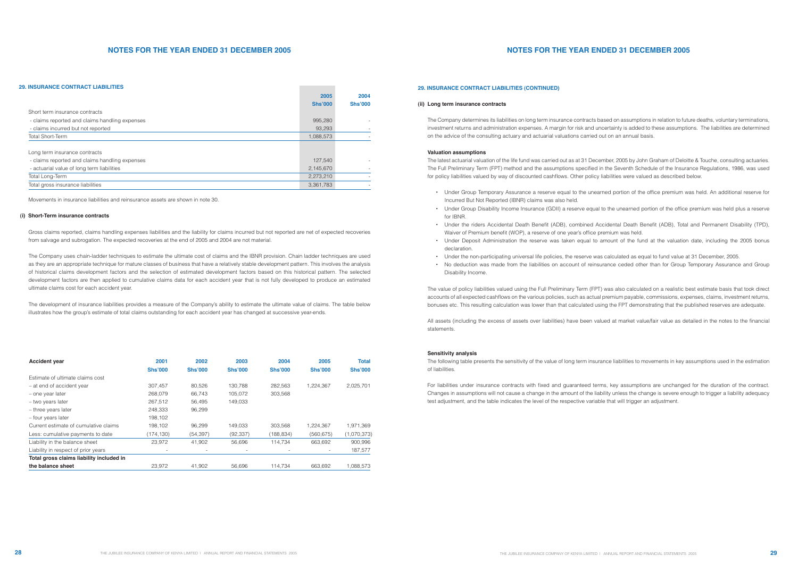• Under Group Disability Income Insurance (GDII) a reserve equal to the unearned portion of the office premium was held plus a reserve

• Under Deposit Administration the reserve was taken equal to amount of the fund at the valuation date, including the 2005 bonus

• No deduction was made from the liabilities on account of reinsurance ceded other than for Group Temporary Assurance and Group

# **NOTES FOR THE YEAR ENDED 31 DECEMBER 2005**

Movements in insurance liabilities and reinsurance assets are shown in note 30.

Gross claims reported, claims handling expenses liabilities and the liability for claims incurred but not reported are net of expected recoveries from salvage and subrogation. The expected recoveries at the end of 2005 and 2004 are not material.

The Company uses chain-ladder techniques to estimate the ultimate cost of claims and the IBNR provision. Chain ladder techniques are used as they are an appropriate technique for mature classes of business that have a relatively stable development pattern. This involves the analysis of historical claims development factors and the selection of estimated development factors based on this historical pattern. The selected development factors are then applied to cumulative claims data for each accident year that is not fully developed to produce an estimated ultimate claims cost for each accident year.

The development of insurance liabilities provides a measure of the Company's ability to estimate the ultimate value of claims. The table below illustrates how the group's estimate of total claims outstanding for each accident year has changed at successive year-ends.

| <b>Accident year</b>                     | 2001           | 2002                     | 2003           | 2004           | 2005           | <b>Total</b>   |
|------------------------------------------|----------------|--------------------------|----------------|----------------|----------------|----------------|
|                                          | <b>Shs'000</b> | <b>Shs'000</b>           | <b>Shs'000</b> | <b>Shs'000</b> | <b>Shs'000</b> | <b>Shs'000</b> |
| Estimate of ultimate claims cost         |                |                          |                |                |                |                |
| - at end of accident year                | 307,457        | 80,526                   | 130.788        | 282,563        | 1,224,367      | 2,025,701      |
| - one year later                         | 268.079        | 66.743                   | 105.072        | 303,568        |                |                |
| - two years later                        | 267,512        | 56.495                   | 149.033        |                |                |                |
| - three years later                      | 248.333        | 96,299                   |                |                |                |                |
| - four years later                       | 198,102        |                          |                |                |                |                |
| Current estimate of cumulative claims    | 198.102        | 96.299                   | 149.033        | 303.568        | 1,224,367      | 1,971,369      |
| Less: cumulative payments to date        | (174,130)      | (54, 397)                | (92, 337)      | (188, 834)     | (560, 675)     | (1,070,373)    |
| Liability in the balance sheet           | 23,972         | 41,902                   | 56.696         | 114,734        | 663,692        | 900,996        |
| Liability in respect of prior years      |                | $\overline{\phantom{a}}$ |                |                |                | 187,577        |
| Total gross claims liability included in |                |                          |                |                |                |                |
| the balance sheet                        | 23.972         | 41,902                   | 56.696         | 114,734        | 663.692        | 1,088,573      |

- Under Group Temporary Assurance a reserve equal to the unearned portion of the office premium was held. An additional reserve for Incurred But Not Reported (IBNR) claims was also held.
- for IBNR.
- Under the riders Accidental Death Benefit (ADB), combined Accidental Death Benefit (ADB), Total and Permanent Disability (TPD), Waiver of Premium benefit (WOP), a reserve of one year's office premium was held.
- declaration.
- Under the non-participating universal life policies, the reserve was calculated as equal to fund value at 31 December, 2005.
- Disability Income.

All assets (including the excess of assets over liabilities) have been valued at market value/fair value as detailed in the notes to the financial statements.

# **NOTES FOR THE YEAR ENDED 31 DECEMBER 2005**

The Company determines its liabilities on long term insurance contracts based on assumptions in relation to future deaths, voluntary terminations, investment returns and administration expenses. A margin for risk and uncertainty is added to these assumptions. The liabilities are determined on the advice of the consulting actuary and actuarial valuations carried out on an annual basis.

#### **Valuation assumptions**

|                                                | 2005           | 2004           |
|------------------------------------------------|----------------|----------------|
|                                                | <b>Shs'000</b> | <b>Shs'000</b> |
| Short term insurance contracts                 |                |                |
| - claims reported and claims handling expenses | 995,280        |                |
| - claims incurred but not reported             | 93,293         |                |
| <b>Total Short-Term</b>                        | 1,088,573      |                |
|                                                |                |                |
| Long term insurance contracts                  |                |                |
| - claims reported and claims handling expenses | 127,540        |                |
| - actuarial value of long term liabilities     | 2,145,670      |                |
| Total Long-Term                                | 2,273,210      |                |
| Total gross insurance liabilities              | 3,361,783      |                |

The latest actuarial valuation of the life fund was carried out as at 31 December, 2005 by John Graham of Deloitte & Touche, consulting actuaries. The Full Preliminary Term (FPT) method and the assumptions specified in the Seventh Schedule of the Insurance Regulations, 1986, was used for policy liabilities valued by way of discounted cashflows. Other policy liabilities were valued as described below.

The value of policy liabilities valued using the Full Preliminary Term (FPT) was also calculated on a realistic best estimate basis that took direct accounts of all expected cashflows on the various policies, such as actual premium payable, commissions, expenses, claims, investment returns, bonuses etc. This resulting calculation was lower than that calculated using the FPT demonstrating that the published reserves are adequate.

#### **Sensitivity analysis**

The following table presents the sensitivity of the value of long term insurance liabilities to movements in key assumptions used in the estimation of liabilities.

For liabilities under insurance contracts with fixed and guaranteed terms, key assumptions are unchanged for the duration of the contract. Changes in assumptions will not cause a change in the amount of the liability unless the change is severe enough to trigger a liability adequacy test adjustment, and the table indicates the level of the respective variable that will trigger an adjustment.

#### **29. INSURANCE CONTRACT LIABILITIES**

#### **(i) Short-Term insurance contracts**

#### **29. INSURANCE CONTRACT LIABILITIES (CONTINUED)**

#### **(ii) Long term insurance contracts**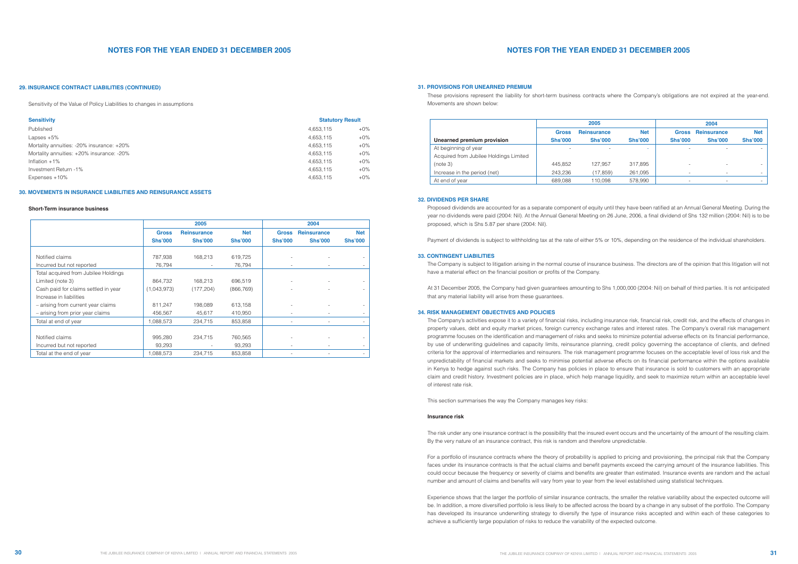Sensitivity of the Value of Policy Liabilities to changes in assumptions

#### **Short-Term insurance business**

These provisions represent the liability for short-term business contracts where the Company's obligations are not expired at the year-end. Movements are shown below:

Proposed dividends are accounted for as a separate component of equity until they have been ratified at an Annual General Meeting. During the year no dividends were paid (2004: Nil). At the Annual General Meeting on 26 June, 2006, a final dividend of Shs 132 million (2004: Nil) is to be proposed, which is Shs 5.87 per share (2004: Nil).

Payment of dividends is subject to withholding tax at the rate of either 5% or 10%, depending on the residence of the individual shareholders.

The Company is subject to litigation arising in the normal course of insurance business. The directors are of the opinion that this litigation will not have a material effect on the financial position or profits of the Company.

At 31 December 2005, the Company had given guarantees amounting to Shs 1,000,000 (2004: Nil) on behalf of third parties. It is not anticipated that any material liability will arise from these guarantees.

The Company's activities expose it to a variety of financial risks, including insurance risk, financial risk, credit risk, and the effects of changes in property values, debt and equity market prices, foreign currency exchange rates and interest rates. The Company's overall risk management programme focuses on the identification and management of risks and seeks to minimize potential adverse effects on its financial performance, by use of underwriting guidelines and capacity limits, reinsurance planning, credit policy governing the acceptance of clients, and defined criteria for the approval of intermediaries and reinsurers. The risk management programme focuses on the acceptable level of loss risk and the unpredictability of financial markets and seeks to minimise potential adverse effects on its financial performance within the options available in Kenya to hedge against such risks. The Company has policies in place to ensure that insurance is sold to customers with an appropriate claim and credit history. Investment policies are in place, which help manage liquidity, and seek to maximize return within an acceptable level of interest rate risk.

This section summarises the way the Company manages key risks:

#### **Insurance risk**

The risk under any one insurance contract is the possibility that the insured event occurs and the uncertainty of the amount of the resulting claim. By the very nature of an insurance contract, this risk is random and therefore unpredictable.

| <b>Sensitivity</b>                        | <b>Statutory Result</b> |        |  |
|-------------------------------------------|-------------------------|--------|--|
| Published                                 | 4,653,115               | $+0\%$ |  |
| Lapses $+5\%$                             | 4,653,115               | $+0\%$ |  |
| Mortality annuities: -20% insurance: +20% | 4,653,115               | $+0\%$ |  |
| Mortality annuities: +20% insurance: -20% | 4,653,115               | $+0\%$ |  |
| Inflation $+1\%$                          | 4,653,115               | $+0\%$ |  |
| Investment Return -1%                     | 4,653,115               | $+0\%$ |  |
| Expenses +10%                             | 4,653,115               | $+0\%$ |  |

For a portfolio of insurance contracts where the theory of probability is applied to pricing and provisioning, the principal risk that the Company faces under its insurance contracts is that the actual claims and benefit payments exceed the carrying amount of the insurance liabilities. This could occur because the frequency or severity of claims and benefits are greater than estimated. Insurance events are random and the actual number and amount of claims and benefits will vary from year to year from the level established using statistical techniques.

Experience shows that the larger the portfolio of similar insurance contracts, the smaller the relative variability about the expected outcome will be. In addition, a more diversified portfolio is less likely to be affected across the board by a change in any subset of the portfolio. The Company has developed its insurance underwriting strategy to diversify the type of insurance risks accepted and within each of these categories to achieve a sufficiently large population of risks to reduce the variability of the expected outcome.

### **30. MOVEMENTS IN INSURANCE LIABILITIES AND REINSURANCE ASSETS**

### **29. INSURANCE CONTRACT LIABILITIES (CONTINUED) 31. PROVISIONS FOR UNEARNED PREMIUM**

#### **32. DIVIDENDS PER SHARE**

### **33. CONTINGENT LIABILITIES**

### **34. RISK MANAGEMENT OBJECTIVES AND POLICIES**

|                                      |                | 2005               |                |                          | 2004               |                |
|--------------------------------------|----------------|--------------------|----------------|--------------------------|--------------------|----------------|
|                                      | <b>Gross</b>   | <b>Reinsurance</b> | <b>Net</b>     | <b>Gross</b>             | <b>Reinsurance</b> | <b>Net</b>     |
|                                      | <b>Shs'000</b> | <b>Shs'000</b>     | <b>Shs'000</b> | <b>Shs'000</b>           | <b>Shs'000</b>     | <b>Shs'000</b> |
| Notified claims                      | 787,938        | 168,213            | 619,725        |                          |                    |                |
| Incurred but not reported            | 76,794         |                    | 76,794         |                          |                    |                |
| Total acquired from Jubilee Holdings |                |                    |                |                          |                    |                |
| Limited (note 3)                     | 864,732        | 168,213            | 696,519        |                          |                    |                |
| Cash paid for claims settled in year | (1,043,973)    | (177, 204)         | (866, 769)     |                          |                    |                |
| Increase in liabilities              |                |                    |                |                          |                    |                |
| - arising from current year claims   | 811,247        | 198,089            | 613,158        |                          |                    |                |
| - arising from prior year claims     | 456,567        | 45,617             | 410,950        |                          |                    |                |
| Total at end of year                 | 1,088,573      | 234,715            | 853,858        |                          |                    |                |
|                                      |                |                    |                |                          |                    |                |
| Notified claims                      | 995,280        | 234,715            | 760,565        |                          |                    |                |
| Incurred but not reported            | 93,293         |                    | 93,293         | $\overline{\phantom{a}}$ |                    |                |
| Total at the end of year             | 1,088,573      | 234,715            | 853,858        |                          |                    |                |

|                                        | 2005                           |                                      |                              | 2004                           |                                      |                              |
|----------------------------------------|--------------------------------|--------------------------------------|------------------------------|--------------------------------|--------------------------------------|------------------------------|
| Unearned premium provision             | <b>Gross</b><br><b>Shs'000</b> | <b>Reinsurance</b><br><b>Shs'000</b> | <b>Net</b><br><b>Shs'000</b> | <b>Gross</b><br><b>Shs'000</b> | <b>Reinsurance</b><br><b>Shs'000</b> | <b>Net</b><br><b>Shs'000</b> |
| At beginning of year                   | $\overline{\phantom{0}}$       |                                      | $\overline{\phantom{a}}$     | $\overline{\phantom{a}}$       |                                      |                              |
| Acquired from Jubilee Holdings Limited |                                |                                      |                              |                                |                                      |                              |
| (note 3)                               | 445.852                        | 127.957                              | 317,895                      | $\overline{\phantom{0}}$       |                                      |                              |
| Increase in the period (net)           | 243.236                        | (17, 859)                            | 261,095                      | $\overline{\phantom{a}}$       | $\overline{\phantom{a}}$             |                              |
| At end of year                         | 689.088                        | 110.098                              | 578.990                      | $\overline{\phantom{0}}$       |                                      |                              |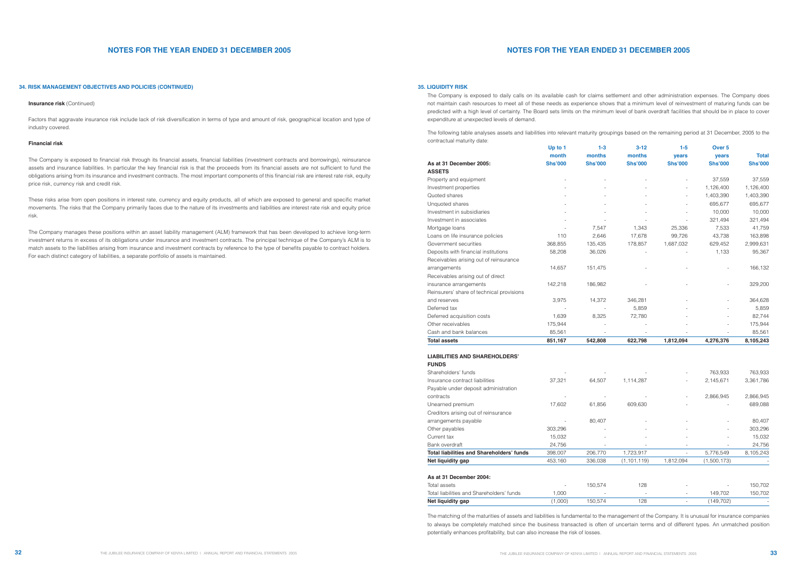|                                                  | Up to 1        | $1 - 3$        | $3 - 12$       | $1 - 5$        | Over <sub>5</sub> |                |
|--------------------------------------------------|----------------|----------------|----------------|----------------|-------------------|----------------|
|                                                  | month          | months         | months         | years          | years             | <b>Total</b>   |
| As at 31 December 2005:                          | <b>Shs'000</b> | <b>Shs'000</b> | <b>Shs'000</b> | <b>Shs'000</b> | <b>Shs'000</b>    | <b>Shs'000</b> |
| <b>ASSETS</b>                                    |                |                |                |                |                   |                |
| Property and equipment                           |                |                |                |                | 37,559            | 37,559         |
| Investment properties                            |                |                |                |                | 1,126,400         | 1,126,400      |
| Quoted shares                                    |                |                |                |                | 1,403,390         | 1,403,390      |
| Unquoted shares                                  |                |                |                |                | 695,677           | 695,677        |
| Investment in subsidiaries                       |                |                |                |                | 10,000            | 10,000         |
| Investment in associates                         |                |                |                |                | 321,494           | 321,494        |
| Mortgage loans                                   |                | 7,547          | 1,343          | 25,336         | 7,533             | 41,759         |
| Loans on life insurance policies                 | 110            | 2,646          | 17,678         | 99,726         | 43,738            | 163,898        |
| Government securities                            | 368,855        | 135,435        | 178,857        | 1,687,032      | 629,452           | 2,999,631      |
| Deposits with financial institutions             | 58,208         | 36,026         |                |                | 1,133             | 95,367         |
| Receivables arising out of reinsurance           |                |                |                |                |                   |                |
| arrangements                                     | 14,657         | 151,475        |                |                |                   | 166,132        |
| Receivables arising out of direct                |                |                |                |                |                   |                |
| insurance arrangements                           | 142,218        | 186,982        |                |                |                   | 329,200        |
| Reinsurers' share of technical provisions        |                |                |                |                |                   |                |
| and reserves                                     | 3,975          | 14,372         | 346,281        |                |                   | 364,628        |
| Deferred tax                                     |                |                | 5,859          |                |                   | 5,859          |
| Deferred acquisition costs                       | 1,639          | 8,325          | 72,780         |                |                   | 82,744         |
| Other receivables                                | 175,944        |                |                |                |                   | 175,944        |
| Cash and bank balances                           | 85,561         |                |                |                |                   | 85,561         |
| <b>Total assets</b>                              | 851,167        | 542,808        | 622,798        | 1,812,094      | 4,276,376         | 8,105,243      |
|                                                  |                |                |                |                |                   |                |
| <b>LIABILITIES AND SHAREHOLDERS'</b>             |                |                |                |                |                   |                |
| <b>FUNDS</b>                                     |                |                |                |                |                   |                |
| Shareholders' funds                              |                |                |                |                | 763,933           | 763,933        |
| Insurance contract liabilities                   | 37,321         | 64,507         | 1,114,287      |                | 2,145,671         | 3,361,786      |
| Payable under deposit administration             |                |                |                |                |                   |                |
| contracts                                        |                |                |                |                | 2,866,945         | 2,866,945      |
| Unearned premium                                 | 17,602         | 61,856         | 609,630        |                |                   | 689,088        |
| Creditors arising out of reinsurance             |                |                |                |                |                   |                |
| arrangements payable                             |                | 80,407         |                |                |                   | 80,407         |
| Other payables                                   | 303,296        |                |                |                |                   | 303,296        |
| Current tax                                      | 15,032         |                |                |                |                   | 15,032         |
| Bank overdraft                                   | 24,756         |                |                |                |                   | 24,756         |
| <b>Total liabilities and Shareholders' funds</b> | 398,007        | 206,770        | 1,723,917      |                | 5,776,549         | 8,105,243      |
| Net liquidity gap                                | 453,160        | 336,038        | (1, 101, 119)  | 1,812,094      | (1,500,173)       |                |
|                                                  |                |                |                |                |                   |                |
| As at 31 December 2004:                          |                |                |                |                |                   |                |
| Total assets                                     |                | 150,574        | 128            |                |                   | 150,702        |
| Total liabilities and Shareholders' funds        | 1,000          |                |                |                | 149,702           | 150,702        |
| Net liquidity gap                                | (1,000)        | 150,574        | 128            |                | (149, 702)        |                |
|                                                  |                |                |                |                |                   |                |

Factors that aggravate insurance risk include lack of risk diversification in terms of type and amount of risk, geographical location and type of industry covered.

### **Financial risk**

The Company is exposed to financial risk through its financial assets, financial liabilities (investment contracts and borrowings), reinsurance assets and insurance liabilities. In particular the key financial risk is that the proceeds from its financial assets are not sufficient to fund the obligations arising from its insurance and investment contracts. The most important components of this financial risk are interest rate risk, equity price risk, currency risk and credit risk.

These risks arise from open positions in interest rate, currency and equity products, all of which are exposed to general and specific market movements. The risks that the Company primarily faces due to the nature of its investments and liabilities are interest rate risk and equity price risk.

The Company manages these positions within an asset liability management (ALM) framework that has been developed to achieve long-term investment returns in excess of its obligations under insurance and investment contracts. The principal technique of the Company's ALM is to match assets to the liabilities arising from insurance and investment contracts by reference to the type of benefits payable to contract holders. For each distinct category of liabilities, a separate portfolio of assets is maintained.

# **NOTES FOR THE YEAR ENDED 31 DECEMBER 2005**

The Company is exposed to daily calls on its available cash for claims settlement and other administration expenses. The Company does not maintain cash resources to meet all of these needs as experience shows that a minimum level of reinvestment of maturing funds can be predicted with a high level of certainty. The Board sets limits on the minimum level of bank overdraft facilities that should be in place to cover expenditure at unexpected levels of demand.

The following table analyses assets and liabilities into relevant maturity groupings based on the remaining period at 31 December, 2005 to the contractual maturity date:

## **34. RISK MANAGEMENT OBJECTIVES AND POLICIES (CONTINUED) 35. LIQUIDITY RISK**

#### **Insurance risk** (Continued)

The matching of the maturities of assets and liabilities is fundamental to the management of the Company. It is unusual for insurance companies to always be completely matched since the business transacted is often of uncertain terms and of different types. An unmatched position potentially enhances profitability, but can also increase the risk of losses.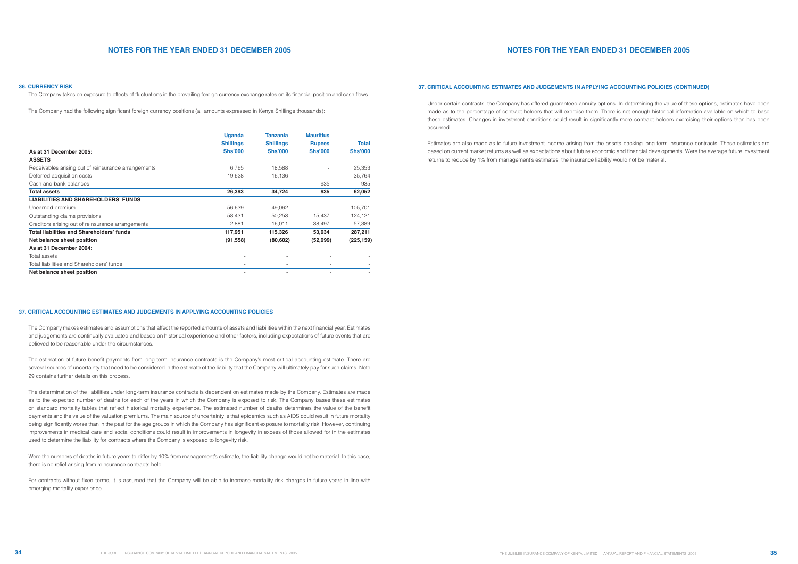The Company takes on exposure to effects of fluctuations in the prevailing foreign currency exchange rates on its financial position and cash flows.

The Company had the following significant foreign currency positions (all amounts expressed in Kenya Shillings thousands):

The Company makes estimates and assumptions that affect the reported amounts of assets and liabilities within the next financial year. Estimates and judgements are continually evaluated and based on historical experience and other factors, including expectations of future events that are believed to be reasonable under the circumstances.

The estimation of future benefit payments from long-term insurance contracts is the Company's most critical accounting estimate. There are several sources of uncertainty that need to be considered in the estimate of the liability that the Company will ultimately pay for such claims. Note 29 contains further details on this process.

The determination of the liabilities under long-term insurance contracts is dependent on estimates made by the Company. Estimates are made as to the expected number of deaths for each of the years in which the Company is exposed to risk. The Company bases these estimates on standard mortality tables that reflect historical mortality experience. The estimated number of deaths determines the value of the benefit payments and the value of the valuation premiums. The main source of uncertainty is that epidemics such as AIDS could result in future mortality being significantly worse than in the past for the age groups in which the Company has significant exposure to mortality risk. However, continuing improvements in medical care and social conditions could result in improvements in longevity in excess of those allowed for in the estimates used to determine the liability for contracts where the Company is exposed to longevity risk.

Were the numbers of deaths in future years to differ by 10% from management's estimate, the liability change would not be material. In this case, there is no relief arising from reinsurance contracts held.

For contracts without fixed terms, it is assumed that the Company will be able to increase mortality risk charges in future years in line with emerging mortality experience.

|                                                     | <b>Uganda</b>                      | Tanzania                           | <b>Mauritius</b>                |                         |
|-----------------------------------------------------|------------------------------------|------------------------------------|---------------------------------|-------------------------|
| As at 31 December 2005:                             | <b>Shillings</b><br><b>Shs'000</b> | <b>Shillings</b><br><b>Shs'000</b> | <b>Rupees</b><br><b>Shs'000</b> | Total<br><b>Shs'000</b> |
| <b>ASSETS</b>                                       |                                    |                                    |                                 |                         |
| Receivables arising out of reinsurance arrangements | 6,765                              | 18,588                             |                                 | 25,353                  |
| Deferred acquisition costs                          | 19,628                             | 16,136                             |                                 | 35,764                  |
| Cash and bank balances                              |                                    |                                    | 935                             | 935                     |
| <b>Total assets</b>                                 | 26,393                             | 34,724                             | 935                             | 62,052                  |
| <b>LIABILITIES AND SHAREHOLDERS' FUNDS</b>          |                                    |                                    |                                 |                         |
| Unearned premium                                    | 56,639                             | 49,062                             |                                 | 105,701                 |
| Outstanding claims provisions                       | 58,431                             | 50,253                             | 15,437                          | 124,121                 |
| Creditors arising out of reinsurance arrangements   | 2,881                              | 16,011                             | 38,497                          | 57,389                  |
| Total liabilities and Shareholders' funds           | 117,951                            | 115,326                            | 53,934                          | 287,211                 |
| Net balance sheet position                          | (91, 558)                          | (80, 602)                          | (52, 999)                       | (225, 159)              |
| As at 31 December 2004:                             |                                    |                                    |                                 |                         |
| Total assets                                        |                                    |                                    |                                 |                         |
| Total liabilities and Shareholders' funds           |                                    | -                                  |                                 |                         |
| Net balance sheet position                          |                                    |                                    |                                 |                         |

# **NOTES FOR THE YEAR ENDED 31 DECEMBER 2005**

Under certain contracts, the Company has offered guaranteed annuity options. In determining the value of these options, estimates have been made as to the percentage of contract holders that will exercise them. There is not enough historical information available on which to base these estimates. Changes in investment conditions could result in significantly more contract holders exercising their options than has been assumed.

Estimates are also made as to future investment income arising from the assets backing long-term insurance contracts. These estimates are based on current market returns as well as expectations about future economic and financial developments. Were the average future investment returns to reduce by 1% from management's estimates, the insurance liability would not be material.

#### **36. CURRENCY RISK**

### **37. CRITICAL ACCOUNTING ESTIMATES AND JUDGEMENTS IN APPLYING ACCOUNTING POLICIES**

# **37. CRITICAL ACCOUNTING ESTIMATES AND JUDGEMENTS IN APPLYING ACCOUNTING POLICIES (CONTINUED)**